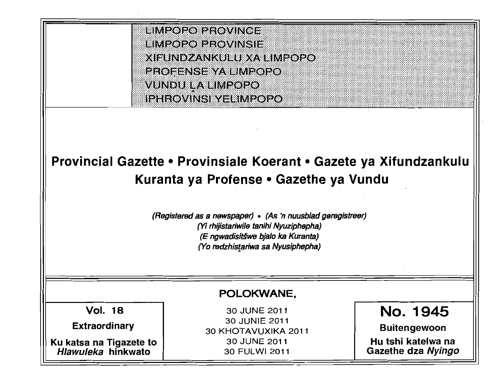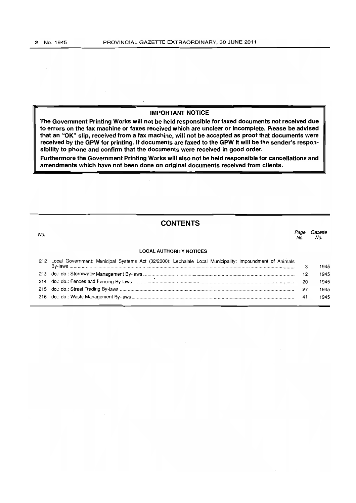### IMPORTANT NOTICE

'rhe Government Printing Works will not be held responsible for faxed documents not received due to errors on the fax machine or faxes received which are unclear or incomplete, Please be advised that an "OK" slip, received from a fax machine. will not be accepted as proof that documents were received by the GPW for printing. If documents are faxed to the GPW it will be the sender's responsibility to phone and confirm that the documents were received in good order.

Furthermore the Government Printing Works will also not be held responsible for cancellations and amendments which have not been done on original documents received from clients.

 $\ddot{\phantom{a}}$ 

### **CONTENTS**

| No. |                                                                                                         | No  | Gazette<br>No. |
|-----|---------------------------------------------------------------------------------------------------------|-----|----------------|
|     | <b>LOCAL AUTHORITY NOTICES</b>                                                                          |     |                |
| 212 | Local Government: Municipal Systems Act (32/2000): Lephalale Local Municipality: Impoundment of Animals | 3   | 1945           |
|     |                                                                                                         | 12∶ | 1945           |
|     |                                                                                                         | 20  | 1945           |
|     |                                                                                                         | 27  | 1945           |
|     |                                                                                                         | 41  | 1945           |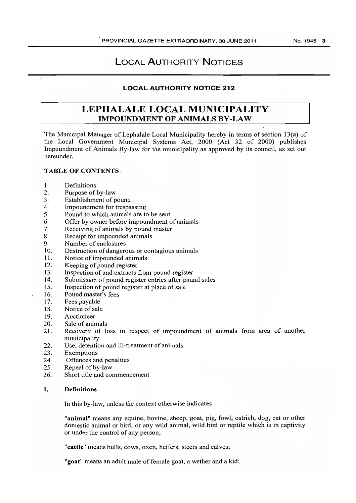## LOCAL AUTHORITY NOTICES

### LOCAL AUTHORITY NOTICE 212

## LEPHALALE LOCAL MUNICIPALITY IMPOUNDMENT OF ANIMALS BY-LAW

The Municipal Manager of Lephalale Local Municipality hereby in terms of section 13(a) of the Local Government Municipal Systems Act, 2000 (Act 32 of 2000) publishes Impoundment of Animals By-law for the municipality as approved by its council, as set out hereunder.

#### TABLE OF CONTENTS·

- 1. Definitions<br>2. Purpose of
- Purpose of by-law
- 3. Establishment of pound
- 4. Impoundment for trespassing
- 5. Pound to which animals are to be sent
- 6. Offer by owner before impoundment of animals
- 7. Receiving of animals by pound master
- 8. Receipt for impounded animals
- 9. Number of enclosures
- 10. Destruction of dangerous or contagious animals
- 11. Notice of impounded animals
- 12. Keeping of pound register<br>13. Inspection of and extracts
- 13. Inspection of and extracts from pound register<br>14. Submission of pound register entries after pound
- Submission of pound register entries after pound sales
- 15. Inspection of pound register at place of sale<br>16. Pound master's fees
- Pound master's fees
- 17. Fees payable
- 18. Notice of sale
- 19. Auctioneer
- 20. Sale of animals<br>21. Recovery of 10
- Recovery of loss in respect of impoundment of animals from area of another municipality
- 22. Use, detention and ill-treatment of animals
- 23. Exemptions
- 24. Offences and penalties
- 25. Repeal of by-law
- 26. Short title and commencement

#### 1. Definitions

In this by-law, unless the context otherwise indicates -

"animal" means any equine, bovine, sheep, goat, pig, fowl, ostrich, dog, cat or other domestic animal or bird, or any wild animal, wild bird or reptile which is in captivity or under the control of any person;

"cattle" means bulls, cows, oxen, heifers, steers and calves;

"goat" means an adult male of female goat, a wether and a kid;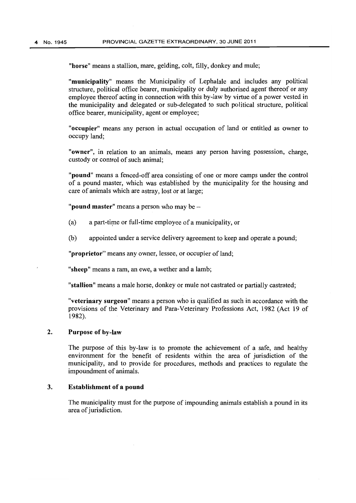"horse" means a stallion, mare, gelding, colt, filly, donkey and mule;

"municipality" means the Municipality of Lephalale and includes any political structure, political office bearer, municipality or duly authorised agent thereof or any employee thereof acting in connection with this by-law by virtue of a power vested in the municipality and delegated or sub-delegated to such political structure, political office bearer, municipality, agent or employee;

"occupier" means any person in actual occupation of land or entitled as owner to occupy land;

"owner", in relation to an animals, means any person having possession, charge, custody or control of such animal;

"pound" means a fenced-off area consisting of one or more camps under the control of a pound master, which was established by the municipality for the housing and care of animals which are astray, lost or at large;

"**pound master**" means a person who may be  $-$ 

- $(a)$  a part-time or full-time employee of a municipality, or
- (b) appointed under a service delivery agreement to keep and operate a pound;

"**proprietor**" means any owner, lessee, or occupier of land;

"sheep" means a ram, an ewe, a wether and a lamb;

"stallion" means a male horse, donkey or mule not castrated or partially castrated;

"veterinary surgeon" means a person who is qualified as such in accordance with the provisions of the Veterinary and Para-Veterinary Professions Act, 1982 (Act 19 of 1982).

### 2. Purpose of by-law

The purpose of this by-law is to promote the achievement of a safe, and healthy environment for the benefit of residents within the area of jurisdiction of the municipality, and to provide for procedures, methods and practices to regulate the impoundment of animals.

### 3. Establishment of a pound

The municipality must for the purpose of impounding animals establish a pound in its area of jurisdiction.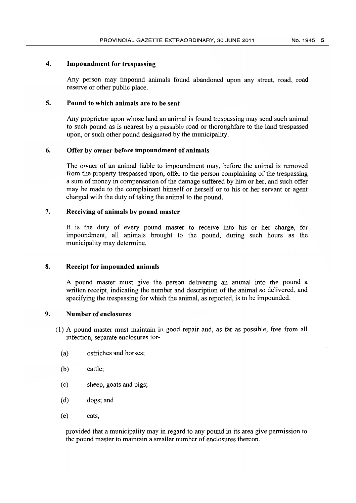### 4. Impoundment for trespassing

Any person may impound animals found abandoned upon any street, road, road reserve or other public place.

### 5. Pound to which animals are to be sent

Any proprietor upon whose land an animal is found trespassing may send such animal to such pound as is nearest by a passable road or thoroughfare to the land trespassed upon, or such other pound designated by the municipality.

### 6. Offer by owner before impoundment of animals

The owner of an animal liable to impoundment may, before the animal is removed from the property trespassed upon, offer to the person complaining of the trespassing a sum of money in compensation of the damage suffered by him or her, and such offer may be made to the complainant himself or herself or to his or her servant or agent charged with the duty of taking the animal to the pound.

### 7. Receiving of animals by pound master

It is the duty of every pound master to receive into his or her charge, for impoundment, all animals brought to the pound, during such hours as the municipality may determine.

### 8. Receipt for impounded animals

A pound master must give the person delivering an animal into the pound a written receipt, indicating the number and description of the animal so delivered, and specifying the trespassing for which the animal, as reported, is to be impounded.

### 9. Number of enclosures

- (1) A pound master must maintain in good repair and, as far as possible, free from all infection, separate enclosures for-
	- (a) ostriches and horses;
	- (b) cattle;
	- (c) sheep, goats and pigs;
	- (d) dogs; and
	- (e) cats,

provided that a municipality may in regard to any pound in its area give permission to the pound master to maintain a smaller number of enclosures thereon.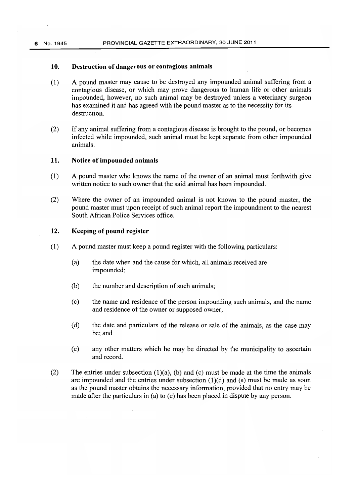### 10. Destruction of dangerous or contagious animals

- (1) A pound master may cause to be destroyed any impounded animal suffering from a contagious disease, or which may prove dangerous to human life or other animals impounded, however, no such animal may be destroyed unless a veterinary surgeon has examined it and has agreed with the pound master as to the necessity for its destruction.
- (2) If any animal suffering from a contagious disease is brought to the pound, or becomes infected while impounded, such animal must be kept separate from other impounded animals.

### 11. Notice of impounded animals

- (1) A pound master who knows the name of the owner of an animal must forthwith give written notice to such owner that the said animal has been impounded.
- (2) Where the owner of an impounded animal is not known to the pound master, the pound master must upon receipt of such animal report the impoundment to the nearest South African Police Services office.

### 12. Keeping of pound register

- (1) A pound master must keep a pound register with the following particulars:
	- (a) the date when and the cause for which, all animals received are impounded;
	- (b) the number and description of such animals;
	- (c) the name and residence of the person impounding such animals, and the name and residence of the owner or supposed owner;
	- (d) the date and particulars of the release or sale of the animals, as the case may be; and
	- (e) any other matters which he may be directed by the municipality to ascertain and record.
- (2) The entries under subsection  $(1)(a)$ , (b) and (c) must be made at the time the animals are impounded and the entries under subsection  $(1)(d)$  and  $(e)$  must be made as soon as the pound master obtains the necessary information, provided that no entry may be made after the particulars in (a) to (e) has been placed in dispute by any person.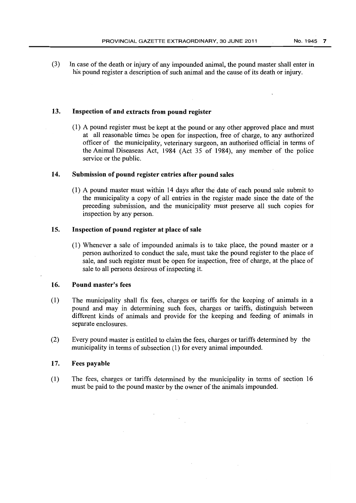(3) In case of the death or injury of any impounded animal, the pound master shall enter in his pound register a description of such animal and the cause of its death or injury.

### 13. Inspection of and extracts from pound register

(1) A pound register must be kept at the pound or any other approved place and must at all reasonable times be open for inspection, free of charge, to any authorized officer of the municipality, veterinary surgeon, an authorised official in terms of the Animal Diseaseas Act, 1984 (Act 35 of 1984), any member of the police service or the public.

### 14. Submission of pound register entries after pound sales

(1) A pound master must within 14 days after the date of each pound sale submit to the municipality a copy of all entries in the register made since the date of the preceding submission, and the municipality must preserve all such copies for inspection by any person.

### 15. Inspection of pound register at place of sale

(1) Whenever a sale of impounded animals is to take place, the pound master or a person authorized to conduct the sale, must take the pound register to the place of sale, and such register must be open for inspection, free of charge, at the place of sale to all persons desirous of inspecting it.

### 16. Pound master's fees

- (1) The municipality shall fix fees, charges or tariffs for the keeping of animals in a pound and may in determining such fees, charges or tariffs, distinguish between different kinds of animals and provide for the keeping and feeding of animals in separate enclosures.
- (2) Every pound master is entitled to claim the fees, charges or tariffs determined by the municipality in terms of subsection (1) for every animal impounded.

### 17. Fees payable

(1) The fees, charges or tariffs determined by the municipality in terms of section 16 must be paid to the pound master by the owner of the animals impounded.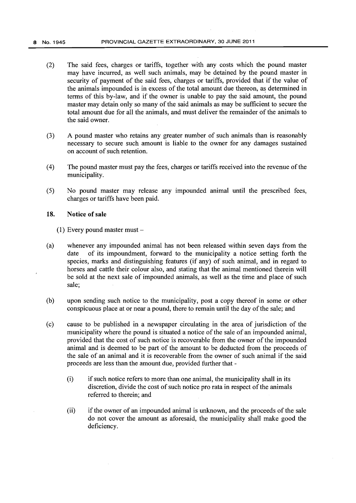- (2) The said fees, charges or tariffs, together with any costs which the pound master may have incurred, as well such animals, may be detained by the pound master in security of payment of the said fees, charges or tariffs, provided that if the value of the animals impounded is in excess of the total amount due thereon, as determined in terms of this by-law, and if the owner is unable to pay the said amount, the pound master may detain only so many of the said animals as may be sufficient to secure the total amount due for all the animals, and must deliver the remainder of the animals to the said owner.
- (3) A pound master who retains any greater number of such animals than is reasonably necessary to secure such amount is liable to the owner for any damages sustained on account of such retention.
- (4) The pound master must pay the fees, charges or tariffs received into the revenue of the municipality.
- (5) No pound master may release any impounded animal until the prescribed fees, charges or tariffs have been paid.

### **18. Notice of sale**

 $(1)$  Every pound master must  $-$ 

- (a) whenever any impounded animal has not been released within seven days from the date of its impoundment, forward to the municipality a notice setting forth the species, marks and distinguishing features (if any) of such animal, and in regard to horses and cattle their colour also, and stating that the animal mentioned therein will be sold at the next sale of impounded animals, as well as the time and place of such sale;
- (b) upon sending such notice to the municipality, post a copy thereof in some or other conspicuous place at or near a pound, there to remain until the day of the sale; and
- (c) cause to be published in a newspaper circulating in the area of jurisdiction of the municipality where the pound is situated a notice of the sale of an impounded animal, provided that the cost of such notice is recoverable from the owner of the impounded animal and is deemed to be part of the amount to be deducted from the proceeds of the sale of an animal and it is recoverable from the owner of such animal if the said proceeds are less than the amount due, provided further that -
	- (i) if such notice refers to more than one animal, the municipality shall in its discretion, divide the cost of such notice pro rata in respect of the animals referred to therein; and
	- (ii) if the owner of an impounded animal is unknown, and the proceeds of the sale do not cover the amount as aforesaid, the municipality shall make good the deficiency.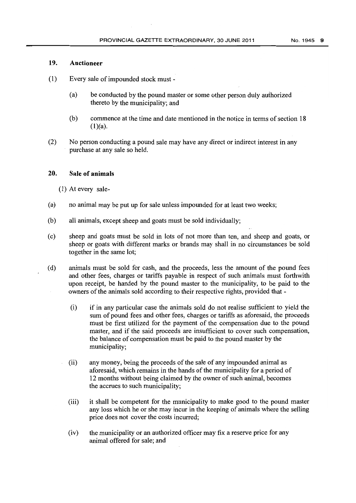### **19. Auctioneer**

- (1) Every sale of impounded stock must
	- (a) be conducted by the pound master or some other person duly authorized thereto by the municipality; and
	- (b) commence at the time and date mentioned in the notice in terms of section 18  $(1)(a)$ .
- (2) No person conducting a pound sale may have any direct or indirect interest in any purchase at any sale so held.

### **20. Sale of animals**

(1) At every sale-

- (a) no animal may be put up for sale unless impounded for at least two weeks;
- (b) all animals, except sheep and goats must be sold individually;
- (c) sheep and goats must be sold in lots of not more than ten, and sheep and goats, or sheep or goats with different marks or brands may shall in no circumstances be sold together in the same lot;
- (d) animals must be sold for cash, and the proceeds, less the amount of the pound fees and other fees, charges or tariffs payable in respect of such animals must forthwith upon receipt, be handed by the pound master to the municipality, to be paid to the owners of the animals sold according to their respective rights, provided that -
	- (i) if in any particular case the animals sold do not realise sufficient to yield the sum of pound fees and other fees, charges or tariffs as aforesaid, the proceeds must be first utilized for the payment of the compensation due to the pound master, and if the said proceeds are insufficient to cover such compensation, the balance of compensation must be paid to the pound master by the municipality;
	- (ii) any money, being the proceeds of the sale of any impounded animal as aforesaid, which remains in the hands of the municipality for a period of 12 months without being claimed by the owner of such animal, becomes the accrues to such municipality;
	- (iii) it shall be competent for the municipality to make good to the pound master any loss which he or she may incur in the keeping of animals where the selling price does not cover the costs incurred;
	- (iv) the municipality or an authorized officer may fix a reserve price for any animal offered for sale; and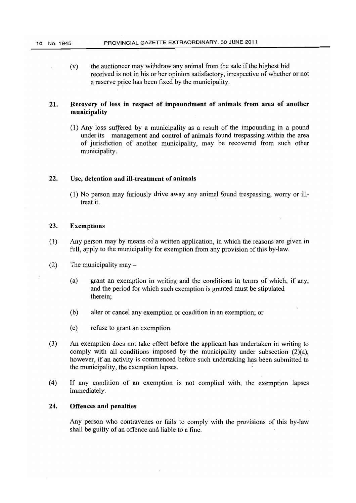(v) the auctioneer may withdraw any animal from the sale if the highest bid received is not in his or her opinion satisfactory, irrespective of whether or not a reserve price has been fixed by the municipality.

### 21. Recovery of loss **in** respect of impoundment of animals from area of another municipality

 $(1)$  Any loss suffered by a municipality as a result of the impounding in a pound under its management and control of animals found trespassing within the area of jurisdiction of another municipality, may be recovered from such other municipality.

### 22. Use, detention and ill-treatment of animals

(1) No person may furiously drive away any animal found trespassing, worry or iUtreat it.

### 23. Exemptions

- (1) Any person may by means of a written application, in which the reasons are given in full, apply to the municipality for exemption from any provision of this by-law.
- (2) The municipality may  $-$ 
	- (a) grant an exemption in writing and the conditions in terms of which, if any, and the period for which such exemption is granted must be stipulated therein;
	- (b) alter or cancel any exemption or condition in an exemption; or
	- (c) refuse to grant an exemption.
- (3) An exemption does not take effect before the applicant has undertaken in writing to comply with all conditions imposed by the municipality under subsection (2)(a), however, if an activity is commenced before such undertaking has been submitted to the municipality, the exemption lapses. '
- (4) If any condition of an exemption is not complied with, the exemption lapses immediately.

### 24. Offences and penalties

Any person who contravenes or fails to comply with the provisions of this by-law shall be guilty of an offence and liable to a fine.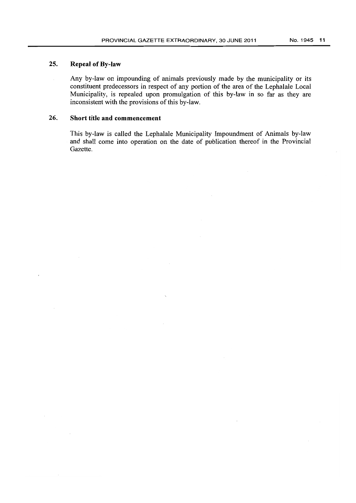## 25. Repeal of By-law

Any by-law on impounding of animals previously made by the municipality or its constituent predecessors in respect of any portion of the area of the Lephalale Local Municipality, is repealed upon promulgation of this by-law in so far as they are inconsistent with the provisions of this by-law.

### 26. Short **title and** commencement

This by-law is called the Lephalale Municipality Impoundment of Animals by-law and shall come into operation on the date of publication thereof in the Provincial Gazette.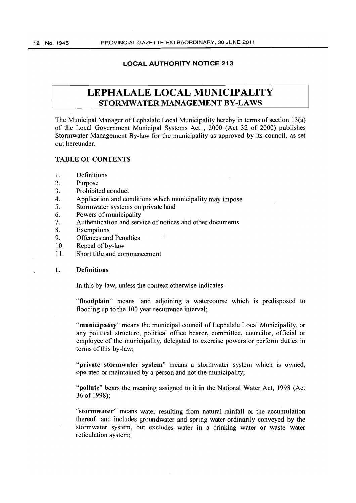### LOCAL AUTHORITY NOTICE 213

## LEPHALALE LOCAL MUNICIPALITY STORMWATER MANAGEMENT BY-LAWS

The Municipal Manager of Lephalale Local Municipality hereby in terms of section 13(a) of the Local Government Municipal Systems Act , 2000 (Act 32 of 2000) publishes Stormwater Management By-law for the municipality as approved by its council, as set out hereunder.

### TABLE OF CONTENTS

- 1. Definitions
- 2. Purpose
- 3. Prohibited conduct
- 4. Application and conditions which municipality may impose
- 5. Storm water systems on private land
- 6. Powers of municipality
- 7. Authentication and service of notices and other documents
- 8. Exemptions
- 9. Offences and Penalties
- 10. Repeal of by-law
- II. Short title and commencement

#### 1. Definitions

In this by-law, unless the context otherwise indicates  $-$ 

"floodplain" means land adjoining a watercourse which is predisposed to flooding up to the 100 year recurrence interval;

"municipality" means the municipal council of Lephalale Local Municipality, or any political structure, political office bearer, committee, councilor, official or employee of the municipality, delegated to exercise powers or perform duties in terms of this by-law;

"private stormwater system" means a stormwater system which is owned, operated or maintained by a person and not the municipality;

"pollute" bears the meaning assigned to it in the National Water Act, 1998 (Act 36 of 1998);

"stormwater" means water resulting from natural rainfall or the accumulation thereof and includes groundwater and spring water ordinarily conveyed by the stormwater system, but excludes water in a drinking water or waste water reticulation system;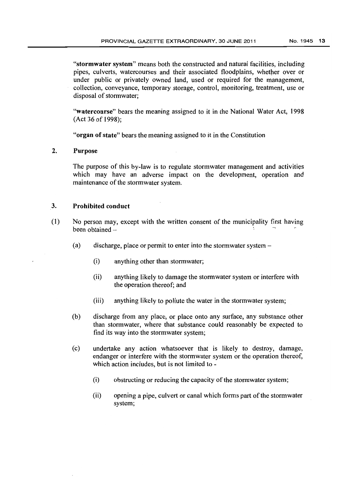"stormwater system" means bath the constructed and natural facilities, including pipes, culverts, watercourses and their associated floodplains, whetber over or under public or privately owned land, used or required for the management, collection, conveyance, temporary storage, control, monitoring, treatment, use or disposal of stormwater;

"watercourse" bears the meaning assigned to it in the National Water Act, 1998 (Act 36 of 1998);

"organ of state" bears the meaning assigned to it in the Constitution

### 2. Purpose

The purpose of this by-law is to regulate stormwater management and activities which may have an adverse impact on the development, operation and maintenance of the stormwater system.

### 3. Prohibited conduct

- (1) No person may, except with the written consent of the municipality first having been obtained -
	- (a) discharge, place or permit to enter into the stormwater system-
		- (i) anything other than stormwater;
		- (ii) anything likely to damage the storm water system or interfere with the operation thereof; and
		- (iii) anything likely to pollute the water in the storm water system;
	- (b) discharge from any place, or place onto any surface, any substance other than storm water, where that substance could reasonably be expected to find its way into the stormwater system;
	- (c) undertake any action whatsoever that is likely to destroy, damage, endanger or interfere with the stormwater system or the operation thereof, which action includes, but is not limited to -
		- (i) obstructing or reducing the capacity of the storm water system;
		- (ii) opening a pipe, culvert or canal which forms part of the stormwater system;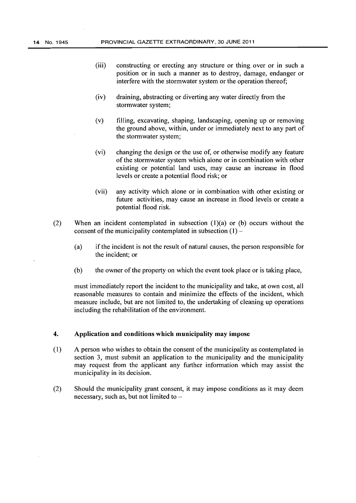- (iii) constructing or erecting any structure or thing. over or in such a position or in such a manner as to destroy, damage, endanger or interfere with the stormwater system or the operation thereof;
- (iv) draining, abstracting or diverting any water directly from the stormwater system;
- (v) filling, excavating, shaping, landscaping, opening up or removing the ground above, within, under or immediately next to any part of the stormwater system;
- (vi) changing the design or the use of, or otherwise modify any feature of the stormwater system which alone or in combination with other existing or potential land uses, may cause an increase in flood levels or create a potential flood risk; or
- (vii) any activity which alone or in combination with other existing or future activities, may cause an increase in flood levels or create a potential flood risk.
- (2) When an incident contemplated in subsection  $(1)(a)$  or  $(b)$  occurs without the consent of the municipality contemplated in subsection  $(1)$  –
	- (a) if the incident is not the result of natural causes, the person responsible for the incident; or
	- (b) the owner of the property on which the event took place or is taking place,

must immediately report the incident to the municipality and take, at own cost, all reasonable measures to contain and minimize the effects of the incident, which measure include, but are not limited to, the undertaking of cleaning up operations including the rehabilitation of the environment.

### 4. Application and conditions which municipality may impose

- (1) A person who wishes to obtain the consent of the municipality as contemplated in section 3, must submit an application to the municipality and the municipality may request from the applicant any further information which may assist the municipality in its decision.
- (2) Should the municipality grant consent, it may impose conditions as it may deem necessary, such as, but not limited to  $-$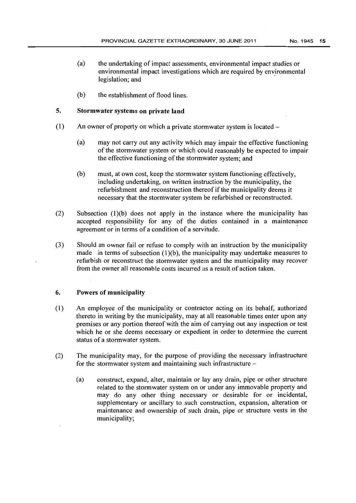- (a) the undertaking of impact assessments, environmental impact studies or environmental impact investigations which are required by environmental legislation; and
- (b) the establishment of flood lines.

### 5. Stormwater systems on private land

- (1) An owner of property on which a private storm water system is located  $-$ 
	- (a) may not carry out any activity which may impair the effective functioning of the stormwater system or which could reasonably be expected to impair the effective functioning of the stormwater system; and
	- (b) must, at own cost, keep the stormwater system functioning effectively, including undertaking, on written instruction by the municipality, the refurbishment and reconstruction thereof if the municipality deems it necessary that the storm water system be refurbished or reconstructed.
- (2) Subsection (l)(b) does not apply in the instance where the municipality has accepted responsibility for any of the duties contained in a maintenance agreement or in terms of a condition of a servitude.
- (3) Should an owner fail or refuse to comply with an instruction by the municipality made in terms of subsection  $(1)(b)$ , the municipality may undertake measures to refurbish or reconstruct the stormwater system and the municipality may recover from the owner all reasonable costs incurred as a result of action taken.

### 6. Powers of municipality

- (1) An employee of the municipality or contractor acting on its behalf, authorized thereto in writing by the municipality, may at all reasonable times enter upon any premises or any portion thereof with the aim of carrying out any inspection or test which he or she deems necessary or expedient in order to determine the current status of a stormwater system.
- (2) The municipality may, for the purpose of providing the necessary infrastructure for the storm water system and maintaining such infrastructure  $-$ 
	- (a) construct, expand, alter, maintain or lay any drain, pipe or other structure related to the stormwater system on or under any immovable property and may do any other thing necessary or desirable for or incidental, supplementary or ancillary to such construction, expansion, alteration or maintenance and ownership of such drain, pipe or structure vests in the municipality;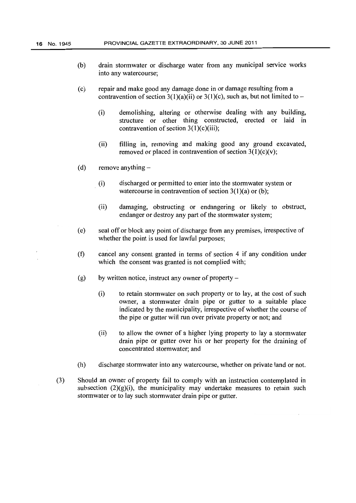- (b) drain storm water or discharge water from any municipal service works into any watercourse;
- (c) repair and make good any damage done in or damage resulting from a contravention of section 3(1)(a)(ii) or 3(1)(c), such as, but not limited to –
	- (i) demolishing, altering or otherwise dealing with any building, structure or other thing constructed, erected or laid in contravention of section  $3(1)(c)(iii)$ ;
	- (ii) filling in, removing and making good any ground excavated, removed or placed in contravention of section  $3(1)(c)(v)$ ;
- (d) remove anything  $-$ 
	- (i) discharged or permitted to enter into the storm water system or watercourse in contravention of section  $3(1)(a)$  or (b);
	- (ii) damaging, obstructing or endangering or likely to obstruct, endanger or destroy any part of the stormwater system;
- (e) seal off or block any point of discharge from any premises, irrespective of whether the point is used for lawful purposes;
- (f) cancel any consent granted in terms of section 4 if any condition under which the consent was granted is not complied with;
- (g) by written notice, instruct any owner of property  $-$ 
	- (i) to retain stormwater on such property or to lay, at the cost of such owner, a storm water drain pipe or gutter to a suitable place indicated by the municipality, irrespective of whether the course of the pipe or gutter will run over private property or not; and
	- (ii) to allow the owner of a higher lying property to lay a storm water drain pipe or gutter over his or her property for the draining of concentrated stormwater; and
- (h) discharge stormwater into any watercourse, whether on private land or not.
- (3) Should an owner of property fail to comply with an instruction contemplated in subsection  $(2)(g)(i)$ , the municipality may undertake measures to retain such stormwater or to lay such stormwater drain pipe or gutter.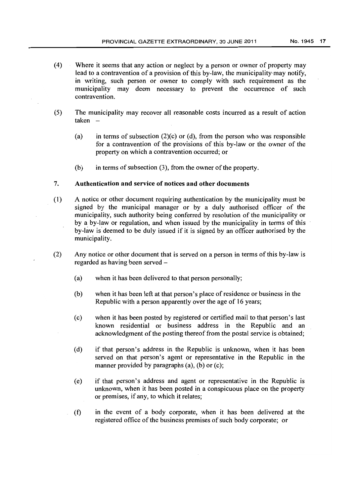- (4) Where it seems that any action or neglect by a person or owner of property may lead to a contravention of a provision of this by-law, the municipality-may notify, in writing, such person or owner to comply with such requirement as the municipality may deem necessary to prevent the occurrence of such contravention.
- (5) The municipality may recover all reasonable costs incurred as a result of action taken
	- (a) in terms of subsection  $(2)(c)$  or (d), from the person who was responsible for a contravention of the provisions of this by-law or the owner of the property on which a contravention occurred; or
	- (b) in terms of subsection (3), from the owner of the property.

### 7. Authentication and service of notices and other documents

- (1) A notice or other document requiring authentication by the municipality must be signed by the municipal manager or by a duly authorised officer of the municipality, such authority being conferred by resolution of the municipality or by a by-law or regulation, and when issued by the municipality in terms of this by-law is deemed to be duly issued if it is signed by an officer authorised by the municipality.
- (2) Any notice or other document that is served on a person in terms of this by-law is regarded as having been served -
	- (a) when it has been delivered to that person personally;
	- (b) when it has been left at that person's place of residence or business in the Republic with a person apparently over the age of 16 years;
	- (c) when it has been posted by registered or certified mail to that person's last known residential or business address in the Republic and an acknowledgment of the posting thereof from the postal service is obtained;
	- (d) if that person's address in the Republic is unknown, when it has been served on that person's agent or representative in the Republic in the manner provided by paragraphs (a), (b) or (c);
	- (e) if that person's address and agent or representative in the Republic is unknown, when it has been posted in a conspicuous place on the property or premises, if any, to which it relates;
	- (t) in the event of a body corporate, when it has been delivered at the registered office of the business premises of such body corporate; or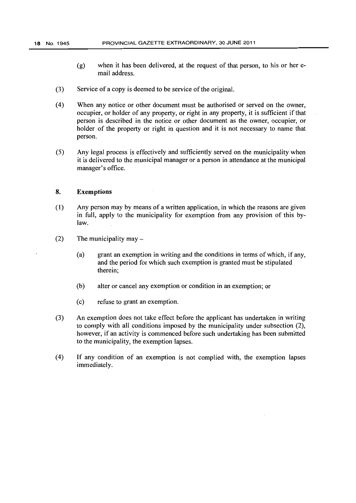- (g) when it has been delivered, at the request of that person, to his or her email address.
- (3) Service of a copy is deemed to be service of the original.
- (4) When any notice or other document must be authorised or served on the owner, occupier, or holder of any property, or right in any property, it is sufficient if that person is described in the notice or other document as the owner, occupier, or holder of the property or right in question and it is not necessary to name that person.
- (5) Any legal process is effectively and sufficiently served on the municipality when it is delivered to the municipal manager or a person in attendance at the municipal manager's office.

### 8. Exemptions

- (1) Any person may by means of a written application, in which the reasons are given in full, apply to the municipality for exemption from any provision of this bylaw.
- $(2)$  The municipality may  $-$ 
	- (a) grant an exemption in writing and the conditions in terms of which, if any, and the period for which such exemption is granted must be stipulated therein;
	- (b) alter or cancel any exemption or condition in an exemption; or
	- (c) refuse to grant an exemption.
- (3) An exemption does not take effect before the applicant has undertaken in writing to comply with all conditions imposed by the municipality under subsection (2), however, if an activity is commenced before such undertaking has been submitted to the municipality, the exemption lapses.
- (4) If any condition of an exemption is not complied with, the exemption lapses immediately.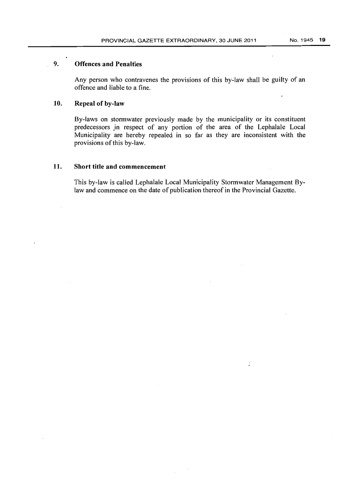### 9. **Offences and Penalties**

Any person who contravenes the provisions of this by-law shall be guilty of an offence and liable to a fine.

### **10. Repeal of** by-law

By-laws on stormwater previously made by the municipality or its constituent predecessors in respect of any portion of the area of the Lephalale Local Municipality are hereby repealed in so far as they are inconsistent with the provisions of this by-law.

### **11. Short title and commencement**

This by-law is called Lephalale Local Municipality Stormwater Management Bylaw and commence on the date of publication thereof in the Provincial Gazette.

 $\mathbf{r}$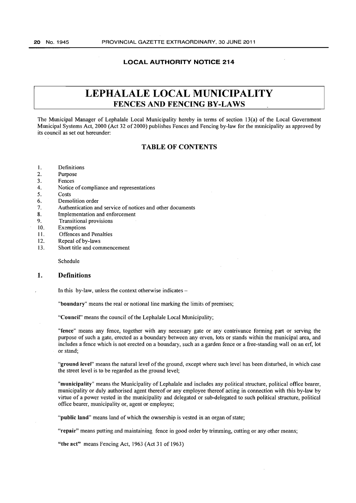### **LOCAL AUTHORITY NOTICE 214**

## **LEPHALALE LOCAL MUNICIPALITY FENCES AND FENCING BY-LAWS**

The Municipal Manager of Lephalale Local Municipality hereby in terms of section 13(a) of the Local Government Municipal Systems Act, 2000 (Act 32 of 2000) publishes Fences and Fencing by-law for the municipality as approved by its council as set out hereunder:

### **TABLE OF CONTENTS**

- I. Definitions
- 2. Purpose
- 3. Fences
- 4. Notice of compliance and representations
- 5. Costs
- 6. Demolition order
- 7. Authentication and service of notices and other documents
- 8. Implementation and enforcement
- 9. Transitional provisions
- 10. Exemptions
- II. Offences and Penalties
- 12. Repeal of by-laws
- 13. Short title and commencement

Schedule

### **1. Definitions**

In this by-law, unless the context otherwise indicates -

"boundary" means the real or notional line marking the limits of premises;

"Council" means the council of the Lephalale Local Municipality;

"fence" means any fence, together with any necessary gate or any contrivance forming part or serving the purpose of such a gate, erected as a boundary between any erven, lots or stands within the municipal area, and includes a fence which is not erected on a boundary, such as a garden fence or a free-standing wall on an erf, lot or stand;

"ground level" means the natural level of the ground, except where such level has been disturbed, in which case the street level is to be regarded as the ground level;

"municipality" means the Municipality of Lephalale and includes any political structure, political office bearer, municipality or duly authorised agent thereof or any employee thereof acting in connection with this by-law by virtue of a power vested in the municipality and delegated or sub-delegated to such political structure, political office bearer, municipality or, agent or employee;

"public land" means land of which the ownership is vested in an organ of state;

"repair" means putting and maintaining fence in good order by trimming, cutting or any other means;

"the act" means Fencing Act, 1963 (Act 31 of 1963)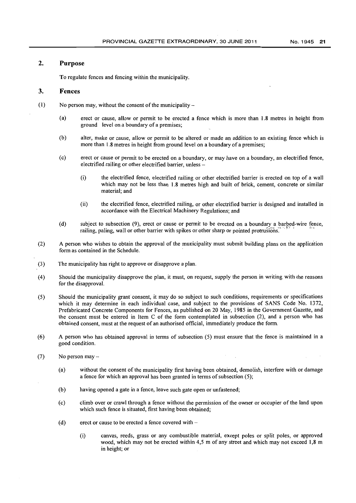### **2. Purpose**

To regulate fences and fencing within the municipality.

### **3. Fences**

- (1) No person may, without the consent of the municipality  $-$ 
	- (a) erect or cause, allow or permit to be erected a fence which is more than 1.8 metres in height from ground level on a boundary of a premises;
	- (b) alter, make or cause, allow or permit to be altered or made an addition to an existing fence which is more than 1.8 metres in height from ground level on a boundary of a premises;
	- (c) erect or cause or permit to be erected on a boundary, or may have on a boundary, an electrified fence, electrified railing or other electrified barrier, unless -
		- (i) the electrified fence, electrified railing or other electrified barrier is erected on top of a wall which may not be less than 1.8 metres high and built of brick, cement, concrete or similar material; and
		- (ii) the electrified fence, electrified railing, or other electrified barrier is designed and installed in accordance with the Electrical Machinery Regulations; and
	- (d) subject to subsection  $(9)$ , erect or cause or permit to be erected on a boundary a barbed-wire fence, railing, paling, wall or other barrier with spikes or other sharp or pointed protrusions.
- (2) A person who wishes to obtain the approval of the municipality must submit building plans on the application form as contained in the Schedule.
- (3) The municipality has right to approve or disapprove a plan.
- (4) Should the municipality disapprove the plan, it must, on request, supply the person in writing with the reasons for the disapproval.
- (5) Should the municipality grant consent, it may do so subject to such conditions, requirements or specifications which it may determine in each individual case, and subject to the provisions of SANS Code No. 1372, Prefabricated Concrete Components for Fences, as published on 20 May, 1985 in the Government Gazette, and the consent must be entered in Item C of the form contemplated in subsection (2), and a person who has obtained consent, must at the request of an authorised official, immediately produce the form.
- (6) A person who has obtained approval in terms of subsection (5) must ensure that the fence is maintained in a good condition.
- (7) No person may
	- (a) without the consent of the municipality first having been obtained, demolish, interfere with or damage a fence for which an approval has been granted in terms of subsection (5);
	- (b) having opened a gate in a fence, leave such gate open or unfastened;
	- (c) climb over or crawl through a fence without the permission of the owner or occupier of the land upon which such fence is situated, first having been obtained;
	- (d) erect or cause to be erected a fence covered with  $-$ 
		- 0) canvas, reeds, grass or any combustible material, except poles or split poles, or approved wood, which may not be erected within 4,5 m of any street and which may not exceed 1,8 m in height; or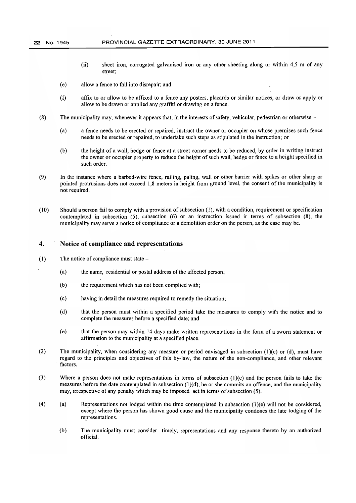- (ii) sheet iron, corrugated galvanised iron or any other sheeting along or within 4,5 m of any street;
- (e) allow a fence to fall into disrepair; and
- (f) affix to or allow to be affixed to a fence any posters, placards or similar notices, or draw or apply or allow to be drawn or applied any graffiti or drawing on a fence.
- (8) The municipality may, whenever it appears that, in the interests of safety, vehicular, pedestrian or otherwise  $-$ 
	- (a) a fence needs to be erected or repaired, instruct the owner or occupier on whose premises such fence needs to be erected or repaired, to undertake such steps as stipulated in the instruction; or
	- (b) the height of a wall, hedge or fence at a street comer needs to he reduced, by order in writing instruct the owner or occupier property to reduce the height of such wall, hedge or fence to a height specified in such order.
- (9) In the instance where a barbed-wire fence, railing, paling, wall or other barrier with spikes or other sharp or pointed protrusions does not exceed 1,8 meters in height from ground level, the consent of the municipality is not required.
- (10) Should a person fail to comply with a provision of subsection (1), with a condition, requirement or specification contemplated in subsection  $(5)$ , subsection  $(6)$  or an instruction issued in terms of subsection  $(8)$ , the municipality may serve a notice of compliance or a demolition order on the person, as the case may be.

### 4. Notice of compliance and representations

- (1) The notice of compliance must state
	- (a) the name, residential or postal address of the affected person;
	- (b) the requirement which has not been complied with;
	- (c) having in detail the measures required to remedy the situation;
	- (d) that the person must within a specified period take the measures to comply with the notice and to complete the measures before a specified date; and
	- (e) that the person may within 14 days make written representations in the form of a sworn statement or affirmation to the municipality at a specified place.
- (2) The municipality, when considering any measure or period envisaged in subsection (1)(c) or (d), must have regard to the principles and objectives of this by-law, the nature of the non-compliance, and other relevant factors.
- (3) Where a person does not make representations in terms of subsection (l)(e) and the person fails to take the measures before the date contemplated in subsection (l)(d), he or she commits an offence, and the municipality may, irrespective of any penalty which may be imposed act in terms of subsection (5).
- (4) (a) Representations not lodged within the time contemplated in subsection (1)(e) will not be considered, except where the person has shown good cause and the municipality condones the late lodging of the representations.
	- (b) The municipality must consider timely, representations and any response thereto by an authorized official.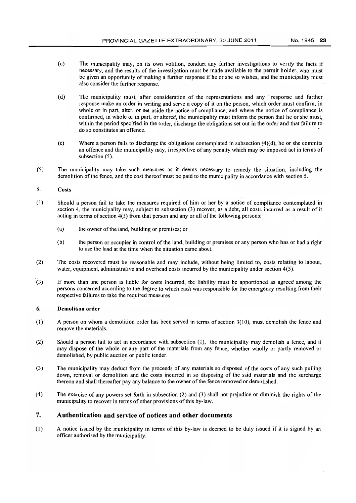- (c) The municipality may, on its own volition, conduct any further investigations to verify the facts if necessary, and the results of the investigation must be made available to the permit holder, who must be given an opportunity of making a further response if he or she so wishes, and the municipality must also consider the further response.
- (d) The municipality must, after consideration of the representations and any response and further response make an order in writing and serve a copy of it on the person, which order must confirm, in whole or in part, alter, or set aside the notice of compliance, and where the notice of compliance is confirmed, in whole or in part, or altered, the municipality must inform the person that he or she must, within the period specified in the order, discharge the obligations set out in the order and that failure to do so constitutes an offence. •
- (e) Where a person fails to discharge the obligations contemplated in subsection  $(4)(d)$ , he or she commits an offence and the municipality may, irrespective of any penalty which may be imposed act in terms of subsection (5).
- (5) The municipality may take such measures as it deems necessary to remedy the situation, including the demolition of the fence, and the cost thereof must be paid to the municipality in accordance with section 5.

#### 5. Costs

- (I) Should a person fail to take the measures required of him or her by a notice of compliance contemplated in section 4, the municipality may, subject to subsection (3) recover, as a debt, all costs incurred as a result of it acting in terms of section 4(5) from that person and any or all of the following persons:
	- (a) the owner of the land, building or premises; or
	- (b) the person or occupier in control of the land, building or premises or any person who has or had a right to use the land at the time when the situation came about.
- (2) The costs recovered must be reasonable and may include, without being limited to, costs relating to labour, water, equipment, administrative and overhead costs incurred by the municipality under section 4(5).
- (3) If more than one person is liable for costs incurred, the liability must be apportioned as agreed among the persons concerned according to the degree to which each was responsible for the emergency resulting from their respective failures to take the required measures.

#### 6. Demolition order

- (I) A person on whom a demolition order has been served in terms of section 3(10), must demolish the fence and remove the materials.
- (2) Should a person fail to act in accordance with subsection (1), the municipality may demolish a fence, and it may dispose of the whole or any part of the materials from any fence, whether wholly or partly removed or demolished, by public auction or public tender.
- (3) The municipality may deduct from the proceeds of any materials so disposed of the costs of any such pulling down, removal or demolition and the costs incurred in so disposing of the said materials and the surcharge thereon and shall thereafter pay any balance to the owner of the fence removed or demolished.
- (4) The exercise of any powers set forth in subsection (2) and (3) shall not prejudice or diminish the rights of the municipality to recover in terms of other provisions of this by-law.

### 7. Authentication and service of notices and other documents

(I) A notice issued by the municipality in terms of this by-law is deemed to be duly issued if it is signed by an officer authorised by the municipality.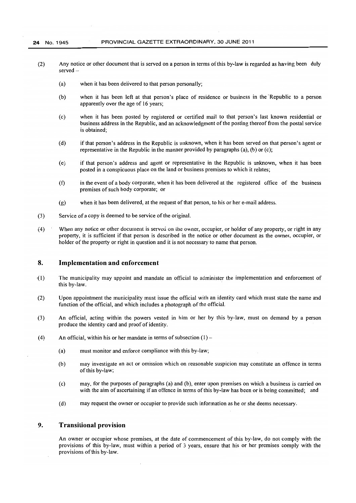- (2) Any notice or other document that is served on a person in terms ofthis by-law is regarded as having been duly served
	- (a) when it has been delivered to that person personally;
	- (b) when it has been left at that person's place of residence or business in the Republic to a person apparently over the age of 16 years;
	- (c) when it has been posted by registered or certified mail to that person's last known residential or business address in the Republic, and an acknowledgment of the posting thereof from the postal service is obtained;
	- (d) if that person's address in the Republic is unknown, when it has been served on that person's agent or representative in the Republic in the manner provided by paragraphs (a), (b) or (c);
	- (e) if that person's address and agent or representative in the Republic is unknown, when it has been posted in a conspicuous place on the land or business premises to which it relates;
	- (f) in the event of a body corporate, when it has been delivered at the registered office of the business premises of such body corporate; or
	- (g) when it has been delivered, at the request of that person, to his or her e-mail address.
- (3) Service of a copy is deemed to be service of the original.
- (4) When any notice or other document is served on the owner, occupier, or holder of any property, or right in any property, it is sufficient if that person is described in the notice or other document as the owner, occupier, or holder of the property or right in question and it is not necessary to name that person.

#### **8. Implementation and enforcement**

- (l) The municipality may appoint and mandate an official to administer the implementation and enforcement of this by-law.
- (2) Upon appointment the municipality must issue the official with an identity card which must state the name and function of the official, and which includes a photograph of the official.
- (3) An official, acting within the powers vested in him or her by this by-law, must on demand by a person produce the identity card and proof of identity.
- (4) An official, within his or her mandate in terms of subsection  $(1)$ 
	- (a) must monitor and enforce compliance with this by-law;
	- (b) may investigate an act or omission which on reasonable suspicion may constitute an offence in terms of this by-law;
	- (c) may, for the purposes of paragraphs (a) and (b), enter upon premises on which a business is carried on with the aim of ascertaining if an offence in terms of this by-law has been or is being committed; and
	- (d) may request the owner or occupier to provide such information as he or she deems necessary.

### **9. Transitional provision**

An owner or occupier whose premises, at the date of commencement of this by-law, do not comply with the provisions of this by-law, must within a period of 3 years, ensure that his or her premises comply with the provisions of this by-law.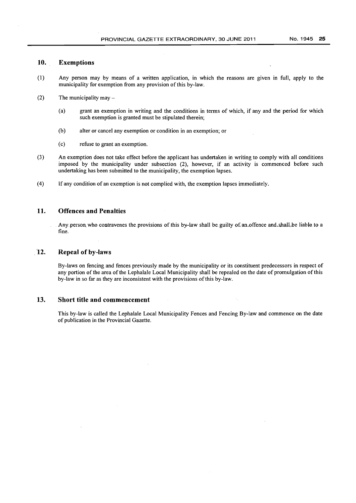### **10. Exemptions**

- (I) Any person may by means of a written application, in which the reasons are given in full, apply to the municipality for exemption from any provision of this by-law.
- (2) The municipality may  $-$ 
	- (a) grant an exemption in writing and the conditions in terms of which, if any and the period for which such exemption is granted must be stipulated therein;
	- (b) alter or cancel any exemption or condition in an exemption; or
	- (c) refuse to grant an exemption.
- (3) An exemption does not take effect before the applicant has undertaken in writing to comply with all conditions imposed by the municipality under subsection (2), however, if an activity is commenced before such undertaking has been submitted to the municipality, the exemption lapses.
- (4) If any condition of an exemption is not complied with, the exemption lapses immediately.

### **11. Offences and Penalties**

Any person who contravenes the provisions of this by-law shall be guilty of an offence and, shall, be liable to a fine.

### . **'12. Repeal of by-laws**

By-laws on fencing and fences previously made by the municipality or its constituent predecessors in respect of any portion of the area of the Lephalale Local Municipality shall be repealed on the date of promulgation of this by-law in so far as they are inconsistent with the provisions ofthis by-law.

### **13. Short title and commencement**

This by-law is called the Lephalale Local Municipality Fences and Fencing By-law and commence on the date of publication in the Provincial Gazette.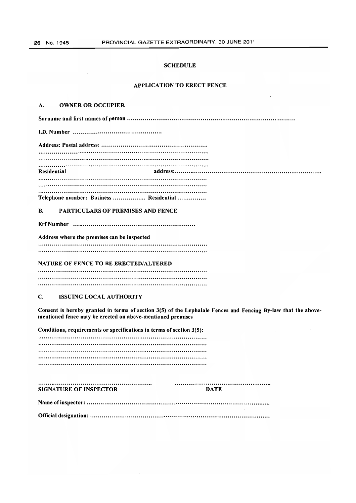#### **SCHEDULE**

#### **APPLICATION TO ERECT FENCE**

#### A. OWNER OR OCCUPIER

Surname and first names of person ..................................................................................... ..

I.D. Number ............................................ ..

Address: Postal address: ..................................................... .. 

Residential address: .......................................................................... .. 

Telephone number: Business .................. Residential ...............

#### B. PARTICULARS OF PREMISES AND FENCE

ErfNumber ............................................................. ..

Address where the premises can be inspected 

#### NATURE OF FENCE TO BE ERECTED/ALTERED

, ..................................................................................................... . 

#### C. ISSUING LOCAL AUTHORITY

Consent is hereby granted in terms of section 3(5) of the Lepbalale Fences and Fencing By-law that the abovementioned fence may be erected on above-mentioned premises

Conditions, requirements or specifications in terms of section 3(5): 

| <b>SIGNATURE OF INSPECTOR</b> | DATE |
|-------------------------------|------|
|                               |      |
|                               |      |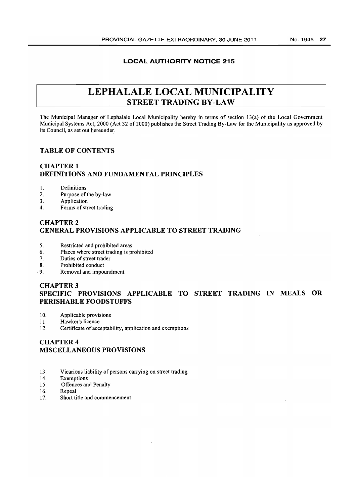### **LOCAL AUTHORITY NOTICE 215**

## **LEPHALALE LOCAL MUNICIPALITY STREET TRADING BY-LAW**

The Municipal Manager of Lephalale Local Municipality hereby in terms of section 13(a) of the Local Government Municipal Systems Act, 2000 (Act 32 of 2000) publishes the Street Trading By-Law for the Municipality as approved by its Council, as set out hereunder.

### **TABLE OF CONTENTS**

### **CHAPTER 1 DEFINITIONS AND FUNDAMENTAL PRINCIPLES**

### 1. Definitions

- 2. Purpose of the by-law
- 3. Application
- 4. Forms of street trading

### CHAPTER 2 **GENERAL PROVISIONS APPLICABLE TO STREET TRADING**

- 5. Restricted and prohibited areas
- 6. Places where street trading is prohibited
- 7. Duties of street trader
- 8. Prohibited conduct
- ,9. Removal and impoundment

### CHAPTER 3 **SPECIFIC PROVISIONS APPLICABLE TO STREET TRADING IN MEALS OR PERISHABLE FOODSTUFFS**

- 10. Applicable provisions
- II. Hawker's licence
- 12. Certificate of acceptability, application and exemptions

### CHAPTER 4 **MISCELLANEOUS PROViSiONS**

- 13. Vicarious liability of persons carrying on street trading
- 14. Exemptions
- 15. Offences and Penalty
- 16. Repeal
- 17. Short title and commencement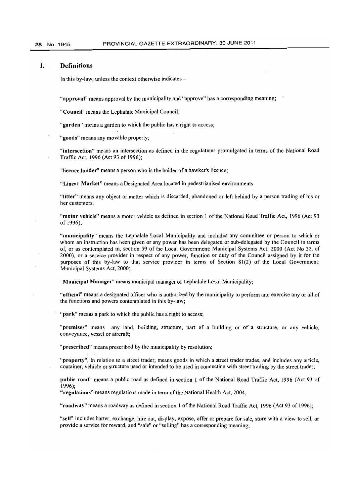#### **1. Definitions**

In this by-law, unless the context otherwise indicates  $-$ 

"approval" means approval by the municipality and "approve" has a corresponding meaning;

"Council" means the Lephalale Municipal Council;

"garden" means a garden to which the public has a right to access;

"goods" means any movable property;

"intersection" means an intersection as defined in the regulations promulgated in terms of the National Road Traffic Act, 1996 (Act 93 of 1996);

"licence holder" means a person who is the holder of a hawker's licence;

"Linear Market" means a Designated Area located in pedestrianised environments

"litter" means any object or matter which is discarded, abandoned or left behind by a person trading of his or her customers.

"motor vehicle" means a motor vehicle as defined in section 1 of the National Road Traffic Act, 1996 (Act 93 of 1996);

"municipality" means the Lephalale Local Municipality and includes any committee or person to which or whom an instruction has been given or any power has been delegated or sub-delegated by the Council in terms of, or as contemplated in, section 59 of the Local Government: Municipal Systems Act, 2000 (Act No 32. of 2000), or a service provider in respect of any power, function or duty of the Council assigned by it for the purposes of this by-law to that service provider in terms of Section 81(2) of the Local Government: Municipal Systems Act, 2000;

"Municipal Manager" means municipal manager of Lephalale Lecal Municipality;

"official" means a designated officer who is authorized by the municipality to perform and exercise any or all of the functions and powers contemplated in this by-law;

"park" means a park to which the public has a right to access;

"premises" means any land, building, structure, part of a building or of a structure, or any vehicle, conveyance, vessel or aircraft;

"prescribed" means prescribed by the municipality by resolution;

"property", in relation to a street trader, means goods in which a street trader trades, and includes any article, container, vehicle or structure used or intended to be used in connection with street trading by the street trader;

**public** road" means a public road as defined in section I of the National Road Traffic Act, 1996 (Act 93 of 1996);

"regulations" means regulations made in term of the National Health Act, 2004;

"roadway" means a roadway as defined in section I of the National Road Traffic Act, 1996 (Act 93 of 1996);

"sell" includes barter, exchange, hire out, display, expose, offer or prepare for sale, store with a view to sell, or provide a service for reward, and "sale" or "selling" has a corresponding meaning;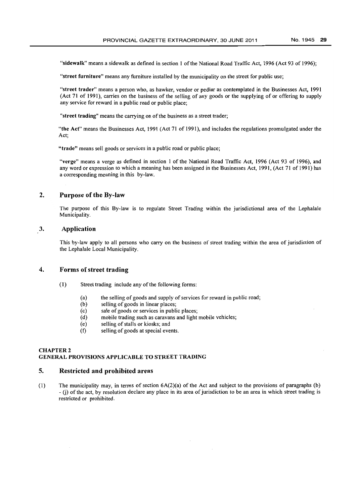"sidewalk" means a sidewalk as defined in section 1 of the National Road Traffic Act, 1996 (Act 93 of 1996);

"street furniture" means any furniture installed by the municipality on the street for public use;

"street trader" means a person who, as hawker, vendor or pedlar as contemplated in the Businesses Act, 1991 (Act 71 of 1991), carries on the business of the selling of any goods or the supplying of or offering to supply any service for reward in a public road or public place;

"street trading" means the carrying on of the business as a street trader;

"the Act" means the Businesses Act, 1991 (Act 71 of 1991), and includes the regulations promulgated under the Act;

"trade" means sell goods or services in a public road or public place;

"verge" means a verge as defined in section 1 of the National Road Traffic Act, 1996 (Act 93 of 1996), and any word or expression to which a meaning has been assigned in the Businesses Act, 1991, (Act 71 of 1991) has a corresponding meaning in this by-law.

### 2. Purpose of the By-law

The purpose of this By-law is to regulate Street Trading within the jurisdictional area of the Lephalale Municipality.

### 3. Application

This by-law apply to all persons who carry on the business of street trading within the area of jurisdiction of the Lephalale Local Municipality.

### 4. Forms of street trading

- (1) Street trading include any of the following forms:
	- (a) the selling of goods and supply of services for reward in public road;<br>(b) selling of goods in linear places;
	- (b) selling of goods in linear places;<br>(c) sale of goods or services in publi
	- (c) sale of goods or services in public places;<br>(d) mobile trading such as caravans and light
	- mobile trading such as caravans and light mobile vehicles;
	- (e) selling of stalls or kiosks; and<br>(f) selling of goods at special eve
	- selling of goods at special events.

#### CHAPTER 2

#### GENERAL PROVISIONS APPLICABLE TO STREET TRADING

#### S. Restricted and prohibited areas

(1) The municipality may, in terms of section  $6A(2)(a)$  of the Act and subject to the provisions of paragraphs (b) - G) of the act, by resolution declare any place in its area of jurisdiction to be an area in which street trading is restricted or prohibited.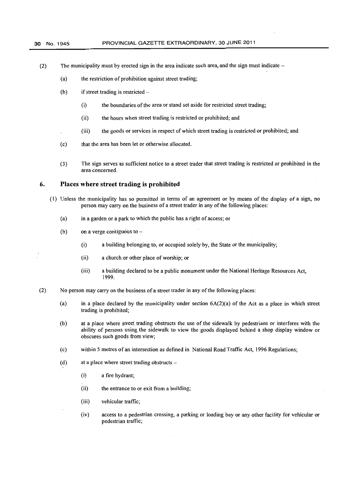- (2) The municipality must by erected sign in the area indicate such area, and the sign must indicate  $-$ 
	- (a) the restriction of prohibition against street trading;
	- (b) if street trading is restricted  $-$ 
		- (i) the boundaries of the area or stand set aside for restricted street trading;
		- (ii) the hours when street trading is restricted or prohibited; and
		- (iii) the goods or services in respect of which street trading is restricted or prohibited; and
	- (c) that the area has been let or otherwise allocated.
	- (3) The sign serves as sufficient notice to a street trader that street trading is restricted or prohibited in the area concerned.

#### **6. Places where street trading is prohibited**

- (I) Unless the municipality has so permitted in terms of an agreement or by means of the display of a sign, no person may carry on the business of a street trader in any of the following places:
	- (a) in a garden or a park to which the public has a right of access; or
	- (b) on a verge contiguous to  $-$ 
		- (i) a building belonging to, or occupied solely by, the State or the municipality;
		- (ii) a church or other place of worship; or
		- (iii) a building declared to be a public monument under the National Heritage Resources Act, 1999.
- (2) No person may carry on the business of a street trader in any of the following places:
	- (a) in a place declared by the municipality under section  $6A(2)(a)$  of the Act as a place in which street trading is prohibited;
	- (b) at a place where street trading obstructs the use of the sidewalk by pedestrians or interferes with the ability of persons using the sidewalk to view the goods displayed behind a shop display window or obscures such goods from view;
	- (c) within 5 metres of an intersection as defined in National Road Traffic Act, 1996 Regulations;
	- $(d)$  at a place where street trading obstructs -
		- (i) a fire hydrant;
		- (ii) the entrance to or exit from a building;
		- (iii) vehicular traffic;
		- (iv) access to a pedestrian crossing, a parking or loading bay or any other facility for vehicular or pedestrian traffic;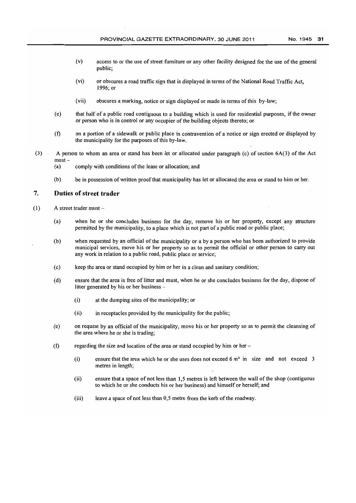- (v) access to or the use of street furniture or any other facility designed foe the use of the general public;
- (vi) or obscures a road traffic sign that is displayed in terms of the National Road Traffic Act, 1996; or
- (vii) obscures a marking, notice or sign displayed or made in terms of this by-law;
- (e) that half of a public road contiguous to a building which is used for residential purposes, if the owner or person who is in control or any occupier of the building objects thereto; or
- (f) on a portion of a sidewalk or public place in contravention of a notice or sign erected or displayed by the municipality for the purposes of this by-law.
- (3) A person to whom an area or stand has been let or allocated under paragraph (c) of section 6A(3) of the Act  $must -$ 
	- (a) comply with conditions of the lease or allocation; and
	- (b) be in possession of written proof that municipality has let or allocated the area or stand to him or her.

### **7. Duties of street trader**

- $(1)$  A street trader must -
	- (a) when he or she concludes business for the day, remove his or her property, except any structure permitted by the municipality, to a place which is not part of a public road or public place;
	- (b) when requested by an official of the municipality or a by a person who has been authorized to provide municipal services, move his or her property so as to permit the official or other person to carry out any work in relation to a public road, public place or service;
	- ( c) keep the area or stand occupied by him or her in a clean and sanitary condition;
	- (d) ensure that the area is free of litter and must, when he or she concludes business for the day, dispose of litter generated by his or her business -
		- (i) at the dumping sites of the municipality; or
		- (ii) in receptacles provided by the municipality for the public;
	- (e) on request by an official of the municipality, move his or her property so as to permit the cleansing of the area where he or she is trading;
	- (f) regarding the size and location of the area or stand occupied by him or her  $-$ 
		- (i) ensure that the area which he or she uses does not exceed  $6 \text{ m}^2$  in size and not exceed 3 metres in length;
		- (ii) ensure that a space of not less than 1,5 metres is left between the wall of the shop (contiguous to which he or she conducts his or her business) and himself or herself; and
		- (iii) leave a space of not less than 0,5 metre from the kerb of the roadway.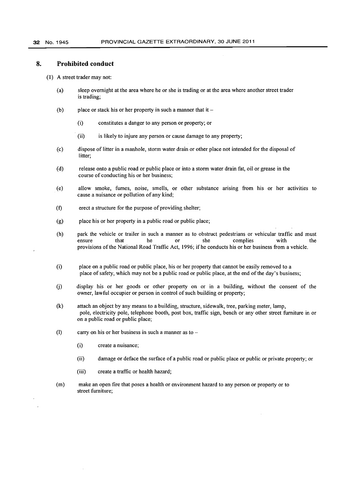#### **8. Prohibited conduct**

- (1) A street trader may not:
	- (a) sleep overnight at the area where he or she is trading or at the area where another street trader is trading;
	- (b) place or stack his or her property in such a manner that it  $-$ 
		- (i) constitutes a danger to any person or property; or
		- (ii) is likely to injure any person or cause damage to any property;
	- (c) dispose of litter in a manhole, storm water drain or other place not intended for the disposal of litter:
	- (d) release onto a public road or public place or into a stonn water drain fat, oil or grease in the course of conducting his or her business;
	- (e) allow smoke, fumes, noise, smells, or other substance arising from his or her activities to cause a nuisance or pollution of any kind;
	- (t) erect a structure for the purpose of providing shelter;
	- (g) place his or her property in a public road or public place;
	- (h) park the vehicle or trailer in such a manner as to obstruct pedestrians or vehicular traffic and must ensure that he or she complies with the provisions of the National Road Traffic Act, 1996; ifhe conducts his or her business from a vehicle.
	- (i) place on a public road or public place, his or her property that cannot be easily removed to a place of safety, which may not be a public road or public place, at the end of the day's business;
	- (j) display his or her goods or other property on or in a building, without the consent of the owner, lawful occupier or person in control of such building or property;
	- (k) attach an object by any means to a building, structure, sidewalk, tree, parking meter, lamp, pole, electricity pole, telephone booth, post box, traffic sign, bench or any other street furniture in or on a public road or public place;
	- (1) carry on his or her business in such a manner as to  $-$ 
		- (i) create a nuisance;
		- (ii) damage or deface the surface of a public road or public place or public or private property; or
		- (iii) create a traffic or health hazard;
	- (m) make an open fire that poses a health or environment hazard to any person or property or to street furniture;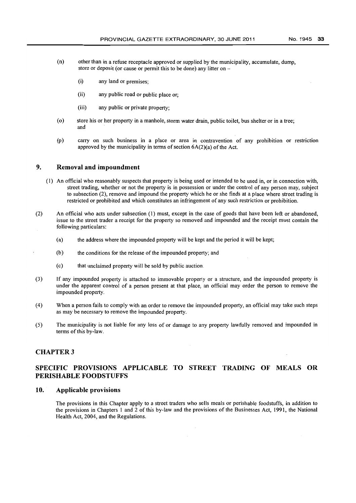- (n) other than in a refuse receptacle approved or supplied by the municipality, accumulate, dump, store or deposit (or cause or permit this to be done) any litter on -
	- (i) any land or premises;
	- (ii) any public road or public place or;
	- (iii) any public or private property;
- (0) store his or her property in a manhole, storm water drain, public toilet, bus shelter or in a tree; and
- (p) carry on such business in a place or area in contravention of any prohibition or restriction approved by the municipality in terms of section 6A(2)(a) of the Act.

### **9. Removal and impoundment**

- (1) An official who reasonably suspects that property is being used or intended to be used in, or in connection with, street trading, whether or not the property is in possession or under the control of any person may, subject to subsection (2), remove and impound the property which he or she finds at a place where street trading is restricted or prohibited and which constitutes an infringement of any such restriction or prohibition.
- (2) An official who acts under subsection (1) must, except in the case of goods that have been left or abandoned, issue to the street trader a receipt for the property so removed and impounded and the receipt must contain the following particulars:
	- (a) the address where the impounded property will be kept and the period it will be kept;
	- (b) the conditions for the release of the impounded property; and
	- (c) that unclaimed property will be sold by public auction.
- (3) If any impounded property is attached to immovable properly or a structure, and the impounded property is under the apparent control of a person present at that place, an official may order the person to remove the impounded property.
- (4) When a person fails to comply with an order to remove the impounded property, an official may take such steps as may be necessary to remove the impounded property.
- (5) The municipality is not liable for any loss of or damage to any property lawfully removed and impounded in terms of this by-law.

### CHAPTER 3

### **SPECIFIC PROVISIONS APPLICABLE TO STREET TRADING OF MEALS OR PERISHABLE FOODSTUFFS**

### **10. Applicable provisions**

The provisions in this Chapter apply to a street traders who sells meals or perishable foodstuffs, in addition to the provisions in Chapters 1 and 2 of this by-law and the provisions of the Businesses Act, 1991, the National Health Act, 2004, and the Regulations.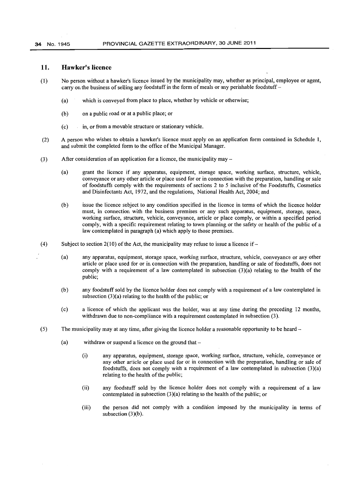#### 34 No. 1945 PROVINCIAL GAZETTE EXTRAORDINARY, 30 JUNE 2011

#### **11. Hawker's licence**

- (1) No person without a hawker's licence issued by the municipality may, whether as principal, employee or agent, carry on the business of selling any foodstuff in the form of meals or any perishable foodstuff-
	- (a) which is conveyed from place to place, whether by vehicle or otherwise;
	- (b) on a public road or at a public place; or
	- (c) in, or from a movable structure or stationary vehicle.
- (2) A person who wishes to obtain a hawker's licence must apply on an application form contained in Schedule I, and submit the completed form to the office of the Municipal Manager.
- (3) After consideration of an application for a licence, the municipality may-
	- (a) grant the licence if any apparatus, equipment, storage space, working surface, structure, vehicle, conveyance or any other article or place used for or in connection with the preparation, handling or sale of foodstuffs comply with the requirements of sections 2 to 5 inclusive of the Foodstuffs, Cosmetics and Disinfectants Act, 1972, and the regulations, National Health Act, 2004; and
	- (b) issue the licence subject to any condition specified in the licence in terms of which the licence holder must, in connection with the business premises or any such apparatus, equipment, storage, space, working surface, structure, vehicle, conveyance, article or place comply, or within a specified period comply, with a specific requirement relating to town planning or the safety or health of the public of a law contemplated in paragraph (a) which apply to those premises.
- (4) Subject to section  $2(10)$  of the Act, the municipality may refuse to issue a licence if -
	- (a) any apparatus, equipment, storage space, working surface, structure, vehicle, conveyance or any other article or place used for or in connection with the preparation, handling or sale of foodstuffs, does not comply with a requirement of a law contemplated in subsection  $(3)(a)$  relating to the health of the public;
	- (b) any foodstuff sold by the licence holder does not comply with a requirement of a law contemplated in subsection  $(3)(a)$  relating to the health of the public; or
	- (c) a licence of which the applicant was the holder, was at any time during the preceding 12 months, withdrawn due to non-compliance with a requirement contemplated in subsection (3).
- (5) The municipality may at any time, after giving the licence holder a reasonable opportunity to be heard-
	- (a) withdraw or suspend a licence on the ground that
		- (i) any apparatus, equipment, storage space, working surface, structure, vehicle, conveyance or any other article or place used for or in connection with the preparation, handling or sale of foodstuffs, does not comply with a requirement of a law contemplated in subsection (3)(a) relating to the health of the public;
		- (ii) any foodstuff sold by the licence holder does not comply with a requirement of a law contemplated in subsection (3)(a) relating to the health of the public; or
		- (iii) the person did not comply with a condition imposed by the municipality in terms of subsection (3)(b).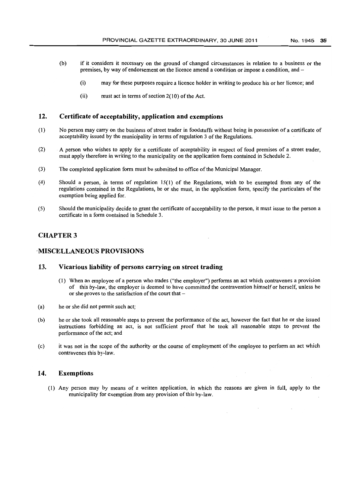- (b) if it considers it necessary on the ground of changed circumstances in relation to a business or the premises, by way of endorsement on the licence amend a condition or impose a condition, and-
	- (i) may for these purposes require a licence holder in writing to produce his or her licence; and
	- (ii) must act in terms of section 2(10) of the Act.

### 12. Certificate of acceptability, application and exemptions

- (I) No person may carry on the business of street trader in foodstuffs without being in possession of a certificate of acceptability issued by the municipality in terms of regulation 3 of the Regulations.
- (2) A person who wishes to apply for a certificate of acceptability in respect of food premises of a street trader, must apply therefore in writing to the municipality on the application form contained in Schedule 2.
- (3) The completed application form must be submitted to office of the Municipal Manager.
- (4) Should a person, in terms of regulation 15(1) of the Regulations, wish to be exempted from any of the regulations contained in the Regulations, he or she must, in the application form, specity the particulars of the exemption being applied for.
- (5) Should the municipality decide to grant the certificate of acceptability to the person, it must issue to the person a certificate in a form contained in Schedule 3.

### CHAPTER 3

### 'MISCELLANEOUS PROVISIONS

### 13. Vicarious liability of persons carrying on street trading

- (I) When an employee of a person who trades ("the employer") performs an act which contravenes a provision of this by-law, the employer is deemed to have committed the contravention himself or herself, unless he or she proves to the satisfaction of the court that-
- (a) he or she did not permit such act;
- (b) he or she took all reasonable steps to prevent the performance of the act, however the fact that he or she issued instructions forbidding an act, is not sufficient proof that he took all reasonable steps to prevent the performance of the act; and
- (c) it was not in the scope of the authority or the course of employment of the employee to perform an act which contravenes this by-law.

#### 14. Exemptions

(1) Any person may by means of a written application, in which the reasons are given in full, apply to the municipality for exemption from any provision of this by-law.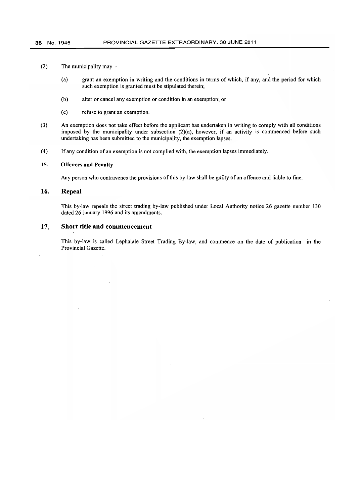- (2) The municipality may  $-$ 
	- (a) grant an exemption in writing and the conditions in terms of which, if any, and the period for which such exemption is granted must be stipulated therein;
	- (b) alter or cancel any exemption or condition in an exemption; or
	- (c) refuse to grant an exemption.
- (3) An exemption does not take effect before the applicant has undertaken in writing to comply with all conditions imposed by the municipality under subsection (2)(a), however, if an activity is commenced before such undertaking has been submitted to the municipality, the exemption lapses.
- (4) If any condition 'of an exemption is not complied with, the exemption lapses immediately.

#### 15. Offences and Penalty

Any person who contravenes the provisions of this by-law shall be guilty of an offence and liable to fine.

#### 16. Repeal

This by-law repeals the street trading by-law published under Local Authority notice 26 gazette number 130 dated 26 January 1996 and its amendments.

#### 17: Short title and commencement

This by-law is called Lephalale Street Trading By-law, and commence on the date of publication in the Provincial Gazette.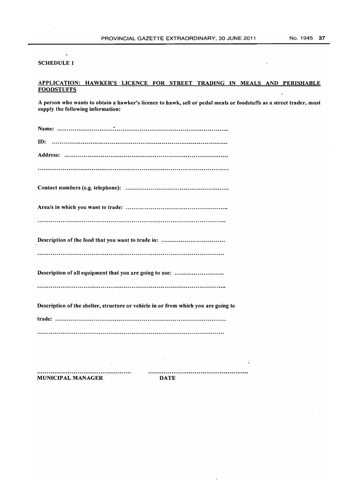### SCHEDULE 1

 $\ddot{\phantom{a}}$ 

#### APPLICATION: HAWKER'S· LICENCE FOR STREET TRADING IN MEALS AND PERISHABLE **FOODSTUFFS**  $\ddot{\phantom{0}}$

A person who wants to obtain a hawker's licence to hawk, sell or pedal meals or foodstuffs as a street trader, must supply the following information:

MUNICIPAL MANAGER DATE

 $\bar{\gamma}$ 

 $\ddot{\phantom{0}}$ 

 $\ddot{\phantom{a}}$ 

 $\bar{L}$ 

 $\ddot{\cdot}$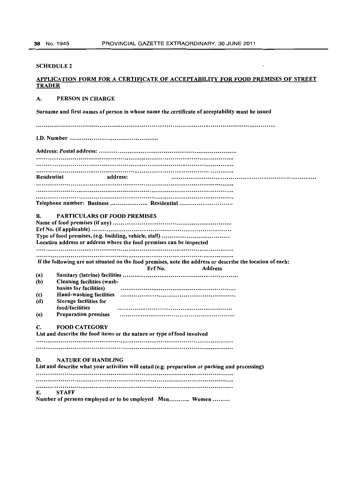$\overline{a}$ 

### SCHEDULE 2

### APPLICATION FORM FOR A CERTIFICATE OF ACCEPTABILITY FOR FOOD PREMISES OF STREET **TRADER**

## A. PERSON IN CHARGE

Surname and first names of person in whose name the certificate of acceptability must be issued

J.D. Number ............................................. .

| Residential | address:                                                                                                   |
|-------------|------------------------------------------------------------------------------------------------------------|
|             |                                                                                                            |
|             |                                                                                                            |
|             |                                                                                                            |
|             | Telephone number: Business  Residential                                                                    |
| B.          | <b>PARTICULARS OF FOOD PREMISES</b>                                                                        |
|             |                                                                                                            |
|             |                                                                                                            |
|             |                                                                                                            |
|             | Location address or address where the food premises can be inspected                                       |
|             |                                                                                                            |
|             |                                                                                                            |
|             | If the following are not situated on the food premises, note the address or describe the location of each: |
|             | Erf No.<br><b>Address</b>                                                                                  |
| (a)         | <b>Cleaning facilities (wash-</b>                                                                          |
| (b)         | basins for facilities)                                                                                     |
| (c)         | Hand-washing facilities                                                                                    |
| (d)         | Storage facilities for                                                                                     |
|             | food/facilities                                                                                            |
| (e)         | <b>Preparation premises</b>                                                                                |
|             |                                                                                                            |
| С.          | <b>FOOD CATEGORY</b>                                                                                       |
|             | List and describe the food items or the nature or type of food involved                                    |
|             |                                                                                                            |
|             |                                                                                                            |
|             |                                                                                                            |
| D.          | <b>NATURE OF HANDLING</b>                                                                                  |
|             | List and describe what your activities will entail (e.g. preparation or packing and processing)            |
|             |                                                                                                            |
|             |                                                                                                            |
| E.          | <b>STAFF</b>                                                                                               |
|             | Number of persons employed or to be employed Men Women                                                     |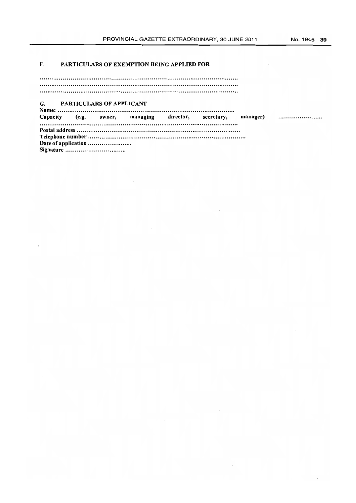$\mathbb{R}^2$ 

### F. PARTICULARS OF EXEMPTION BEING APPLIED FOR

J.

### G. PARTICULARS OF APPLICANT

 $\mathcal{L}^{\mathcal{L}}(\mathcal{L}^{\mathcal{L}}(\mathcal{L}^{\mathcal{L}}(\mathcal{L}^{\mathcal{L}}(\mathcal{L}^{\mathcal{L}}(\mathcal{L}^{\mathcal{L}}(\mathcal{L}^{\mathcal{L}}(\mathcal{L}^{\mathcal{L}}(\mathcal{L}^{\mathcal{L}}(\mathcal{L}^{\mathcal{L}}(\mathcal{L}^{\mathcal{L}}(\mathcal{L}^{\mathcal{L}}(\mathcal{L}^{\mathcal{L}}(\mathcal{L}^{\mathcal{L}}(\mathcal{L}^{\mathcal{L}}(\mathcal{L}^{\mathcal{L}}(\mathcal{L}^{\mathcal{L$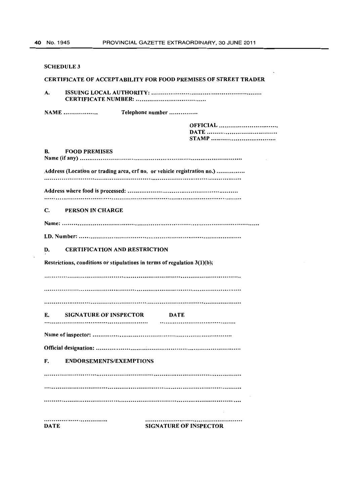| <b>SCHEDULE 3</b>                                                           |
|-----------------------------------------------------------------------------|
| <b>CERTIFICATE OF ACCEPTABILITY FOR FOOD PREMISES OF STREET TRADER</b>      |
| A.                                                                          |
| <b>NAME</b><br>Telephone number                                             |
| <b>OFFICIAL</b>                                                             |
| В.<br><b>FOOD PREMISES</b>                                                  |
| Address (Location or trading area, erf no. or vehicle registration no.)     |
|                                                                             |
|                                                                             |
| C.<br>PERSON IN CHARGE                                                      |
|                                                                             |
|                                                                             |
| <b>CERTIFICATION AND RESTRICTION</b><br>D.                                  |
| Restrictions, conditions or stipulations in terms of regulation $3(1)(b)$ ; |
|                                                                             |
|                                                                             |
|                                                                             |
| E.<br><b>SIGNATURE OF INSPECTOR</b><br>DATE                                 |
|                                                                             |
|                                                                             |
| F.<br><b>ENDORSEMENTS/EXEMPTIONS</b>                                        |
|                                                                             |
|                                                                             |
|                                                                             |
| <br><b>DATE</b><br><b>SIGNATURE OF INSPECTOR</b>                            |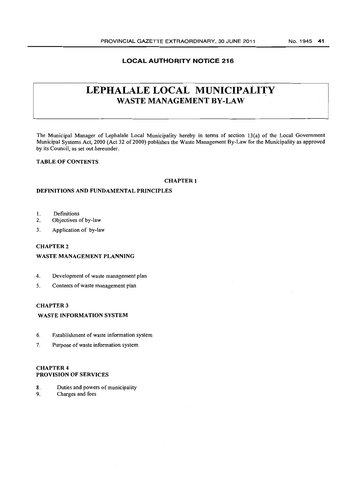### **LOCAL AUTHORITY NOTICE 216**

# **LEPHALALE LOCAL MUNICIPALITY**  WASTE MANAGEMENT BY-LAW

The Municipal Manager of Lephalale Local Municipality hereby in terms of section 13(a) of the Local Government Municipal Systems Act, 2000 (Act 32 of 2000) publishes the Waste Management By-Law for the Municipality as approved by its Council, as set out hereunder.

### **TABLE OF CONTENTS**

#### **CHAPTER 1**

### **DEFINITIONS AND FUNDAMENTAL PRINCIPLES**

- I. Definitions
- 2. Objectives of by-law
- 3. Application of by-law

### CHAPTER 2

#### **WASTE MANAGEMENT PLANNING**

- ,4. Development of waste management plan
- 5. Contents of waste management plan

### CHAPTER 3

#### **WASTE INFORMATION SYSTEM**

- 6. Establishment of waste information system
- 7. Purpose of waste information system

### CHAPTER 4 **PROVISION OF SERVICES**

- 8. Duties and powers of municipality
- 9. Charges and fees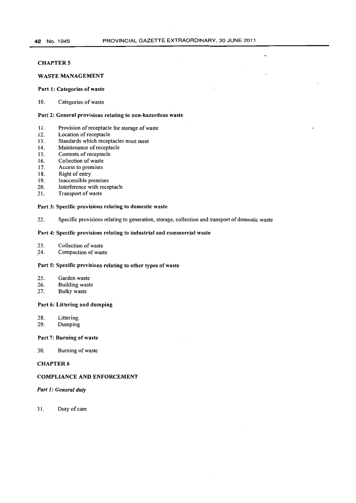$\ddot{\phantom{0}}$ 

### **CHAPTER 5**

#### WASTE MANAGEMENT

#### Part 1: Categories of waste

10. Categories of waste

#### Part 2: General provisions relating to non-hazardous waste

- 11. Provision of receptacle for storage of waste
- 12. Location of receptacle
- 13. Standards which receptacles must meet
- 14. Maintenance of receptacle
- 15. Contents of receptacle
- 16. Collection of waste
- 17. Access to premises
- 18. Right of entry
- 19. Inaccessible premises
- 20. Interference with receptacle<br>21. Transport of waste
- Transport of waste

#### Part 3: Specific provisions relating to domestic waste

22. Specific provisions relating to generation, storage, collection and transport of domestic waste

#### Part 4: Specific provisions relating to industrial and commercial waste

- 23. Collection of waste
- 24. Compaction of waste

#### Part 5: Specific provisions relating to other types of waste

- 25. Garden waste<br>26. Building wast
- 26. Building waste<br>27. Bulky waste
- Bulky waste

#### Part 6: Littering and dumping

- 28. Littering
- 29. Dumping

#### Part 7: Burning of waste

30. Burning of waste

### CHAPTER 6

### COMPLIANCE AND ENFORCEMENT

### *Part 1: General duty*

31. Duty of care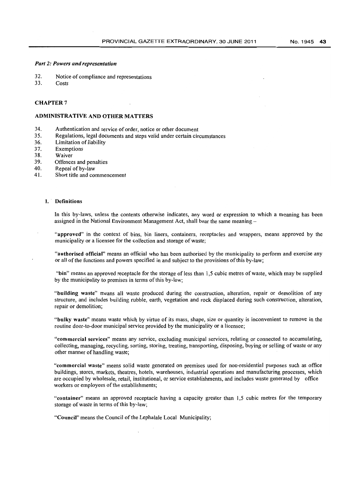#### *Part* 2: *Powers and representation*

- 32. Notice of compliance and representations<br>33. Costs
- Costs

### CHAPTER 7

#### ADMINISTRATIVE AND OTHER MATTERS

- 34. Authentication and service of order, notice or other document
- 35. Regulations, legal documents and steps valid under certain circumstances
- 36. Limitation of liability
- 37. Exemptions
- 38. Waiver
- 39. Offences and penalties<br>40. Repeal of by-law
- Repeal of by-law
- 41. Short title and commencement

#### 1. Definitions

In this by-laws, unless the contents otherwise indicates, any word or expression to which a meaning has been assigned in the National Environment Management Act, shall bear the same meaning

"approved" in the context of bins, bin liners, containers, receptacles and wrappers, means approved by the municipality or a licensee for the collection and storage of waste;

"authorised official" means an official who has been authorised by the municipality to perform and exercise any or all of the functions and powers specified in and subject to the provisions of this by-law;

"bin" means an approved receptacle for the storage of less than 1,5 cubic metres of waste, which may be supplied by the municipality to premises in terms of this by-law;

"building waste" means all waste produced during the construction, alteration, repair or demolition of any structure, and includes building rubble, earth, vegetation and rock displaced during such construction, alteration, repair or demolition;

"bulky waste" means waste which by virtue of its mass, shape, size or quantity is inconvenient to remove in the routine door-to-door municipal service provided by the municipality or a licensee;

"commercial services" means any service, excluding municipal services, relating or connected to accumulating, collecting, managing, recycling, sorting, storing, treating, transporting, disposing, buying or selling of waste or any other manner of handling waste;

"commercial waste" means solid waste generated on premises used for non-residential purposes such as office buildings, stores, markets, theatres, hotels, warehouses, industrial operations and manufacturing processes, which are occupied by wholesale, retail, institutional, or service establishments, and includes waste generated by office workers or employees of the establishments;

"container" means an approved receptacle having a capacity greater than 1,5 cubic metres for the temporary storage of waste in terms of this by-law;

"Council" means the Council of the Lephalale Local Municipality;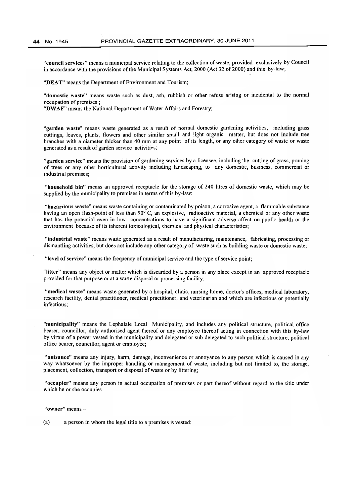"council services" means a municipal service relating to the collection of waste, provided exclusively by Council in accordance with the provisions of the Municipal Systems Act, 2000 (Act 32 of 2000) and this by-law;

"DEAT" means the Department of Environment and Tourism;

"domestic waste" means waste such as dust, ash, rubbish or other refuse arising or incidental to the normal occupation of premises;

"DWAF" means the National Department of Water Affairs and Forestry;

"garden waste" means waste generated as a result of normal domestic gardening activities, including grass cuttings, leaves, plants, flowers and other similar small and light organic matter, but does not include tree branches with a diameter thicker than 40 mm at any point of its length, or any other category of waste or waste generated as a result of garden service activities;

"garden service" means the provision of gardening services by a licensee, including the cutting of grass, pruning of trees or any other horticultural activity including landscaping, to any domestic, business, commercial or industrial premises;

"household bin" means an approved receptacle for the storage of 240 Iitres of domestic waste, which may be supplied by the municipality to premises in terms of this by-law;

"hazardous waste" means waste containing or contaminated by poison, a corrosive agent, a flammable substance having an open flash-point of less than 90° C, an explosive, radioactive material, a chemical or any other waste that has the potential even in low concentrations to have a significant adverse affect on public health or the environment because of its inherent toxicological, chemical and physical characteristics;

"industrial waste" means waste generated as a result of manufacturing, maintenance, fabricating, processing or dismantling activities, but does not include any other category of waste such as building waste or domestic waste;

"level of service" means the frequency of municipal service and the type of service point;

"litter" means any object or matter which is discarded by a person in any place except in an approved receptacle provided for that purpose or at a waste disposal or processing facility;

"medical waste" means waste generated by a hospital, clinic, nursing home, doctor's offices, medical laboratory, research facility, dental practitioner, medical practitioner, and veterinarian and which are infectious or potentially infectious;

"municipality" means the Lephalale Local Municipality, and includes any political structure, political office bearer, councillor, duly authorised agent thereof or any employee thereof acting in connection with this by-law by virtue of a power vested in the municipality and delegated or sub-delegated to such political structure, political office bearer, councillor, agent or employee;

"nuisance" means any injury, harm, damage, inconvenience or annoyance to any person which is caused in any way whatsoever by the improper handling or management of waste, including but not limited to, the storage, placement, collection, transport or disposal of waste or by littering;

"occupier" means any person in actual occupation of premises or part thereof without regard to the title under which he or she occupies

"owner" means -

(a) a person in whom the legal title to a premises is vested;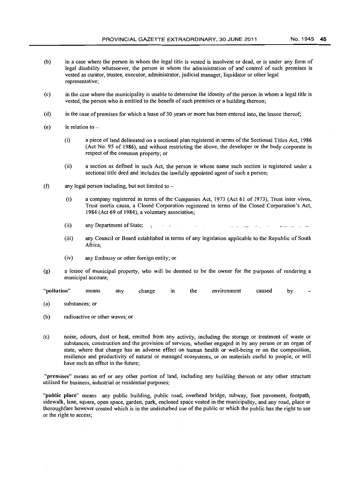- (b) in a case where the person in whom the legal title is vested is insolvent or dead, or is under any form of legal disability whatsoever, the person in whom the administration of and control of such premises is vested as curator, trustee, executor, administrator, judicial manager, liquidator or other legal representative;
- (c) in the case where the municipality is unable to determine the identity of the person in whom a legal title is vested, the person who is entitled to the benefit of such premises or a building thereon;
- (d) in the case of premises for which a lease of 30 years or more has been entered into, the lessee thereof;
- (e) in relation to  $-$ 
	- (i) a piece ofland delineated on a sectional plan registered in terms ofthe Sectional Titles Act, 1986 (Act No. 95 of 1986), and without restricting the above, the developer or the body corporate in respect of the common property; or
	- (ii) a section as defined in such Act, the person in whose name such section is registered under a sectional title deed and includes the lawfully appointed agent of such a person;
- (f) any legal person including, but not limited to  $-$ 
	- (i) a company registered in terms of the Companies Act, 1973 (Act 61 of 1973), Trust inter vivos, Trust mortis causa, a Closed Corporation registered in terms of the Closed Corporation's Act, 1984 (Act 69 of 1984), a voluntary association;
	- (ii) any Department of State;  $\sim 10^{-1}$  .  $\sim 100$   $\sim$ المتعادل والعجام الصواب والانتقاد المطاري والمتعادمين
	- (iii) any Council or Board established in terms of any legislation applicable to the Republic of South Africa;
	- (iv) any Embassy or other foreign entity; or
- (g) a lessee of municipal property, who will be deemed to be the owner for the purposes of rendering a municipal account;

"pollution" means any change in the environment caused by

- (a) substances; or
- (b) radioactive or other waves; or
- (c) noise, odours, dust or heat, emitted from any activity, including the storage or treatment of waste or substances, construction and the provision of services, whether engaged in by any person or an organ of state, where that change has an adverse effect on human health or well-being or on the composition, resilience and productivity of natural or managed ecosystems, or on materials useful to people, or will have such an effect in the future;

"premises" means an erf or any other portion of land, including any building thereon or any other structure utilised for business, industrial or residential purposes;

"public place" means any public building, public road, overhead bridge, subway, foot pavement, footpath, sidewalk, lane, square, open space, garden, park, enclosed space vested in the municipality, and any road, place or thoroughfare however created which is in the undisturbed use of the public or which the public has the right to use or the right to access;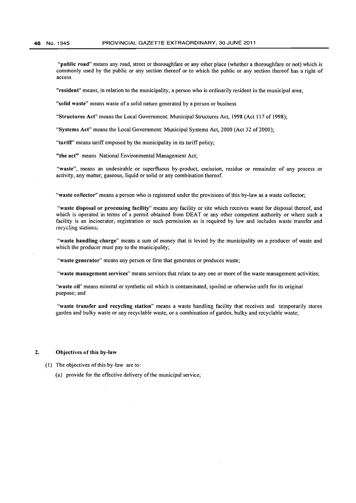"public road" means any road, street or thoroughfare or any other place (whether a thoroughfare or not) which is commonly used by the public or any section thereof or to which the public or any section thereof has a right of access

"resident" means, in relation to the municipality, a person who is ordinarily resident in the municipal area;

"solid waste" means waste of a solid nature generated by a person or business

"Structures Act" means the Local Government: Municipal Structures Act, 1998 (Act 117 of 1998);

"Systems Act" means the Local Government: Municipal Systems Act, 2000 (Act 32 of2000);

"tariff' means tariff emposed by the municipality in its tariff policy;

"the act" means National Environmental Management Act;

"waste", means an undesirable or superfluous by-product, emission, residue or remainder of any process or activity, any matter, gaseous, liquid or solid or any combination thereof.

"waste collector" means a person who is registered under the provisions of this by-law as a waste collector;

"waste disposal or processing facility" means any facility or site which receives waste for disposal thereof, and which is operated in terms of a permit obtained from DEAT or any other competent authority or where such a facility is an incinerator, registration or such permission as is required by law and includes waste transfer and recycling stations;

"waste handling charge" means a sum of money that is levied by the municipality on a producer of waste and which the producer must pay to the municipality;

"waste generator" means any person or firm that generates or produces waste;

"waste management services" means services that relate to anyone or more of the waste management activities;

"waste oil" means mineral or synthetic oil which is contaminated, spoiled or otherwise unfit for its original purpose; and

"waste transfer and recycling station" means a waste handling facility that receives and temporarily stores garden and bulky waste or any recyclable waste, or a combination of garden, bulky and recyclable waste;

#### 2. Objectives of this by-law

- (1) The objectives of this by-law are to:
	- (a) provide for the effective delivery of the municipal service;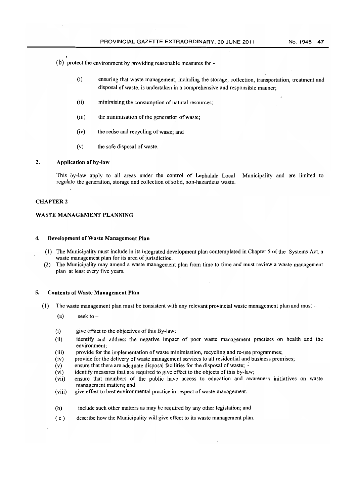- (b) protect the environment by providing reasonable measures for
	- (i) ensuring that waste management, including the storage, collection, transportation, treatment and disposal of waste, is undertaken in a comprehensive and responsible manner;
	- (ii) minimising the consumption of natural resources;
	- (iii) the minimisation of the generation of waste;
	- (iv) the reuse and recycling of waste; and
	- (v) the safe disposal of waste.

#### 2. Application of by-law

This by-law apply to all areas under the control of Lephalale Local Municipality and are limited to regulate the generation, storage and collection of solid, non-hazardous waste.

#### CHAPTER 2

#### WASTE MANAGEMENT PLANNING

#### 4. Development of Waste Management **Plan**

- (I) The Municipality must include in its integrated development plan contemplated in Chapter 5 of the Systems Act, a waste management plan for its area of jurisdiction.
- (2) The Municipality may amend a waste management plan from time to time and must review a waste management plan at least every five years.

#### 5. Contents of Waste Management Plan

- (1) The waste management plan must be consistent with any relevant provincial waste management plan and must
	- (a) seek to  $-$
	- $(i)$  give effect to the objectives of this By-law;
	- (ii) identify and address the negative impact of poor waste management practises on health and the environment;
	- (iii) provide for the implementation of waste minimisation, recycling and re-use programmes;
	- (iv) provide for the delivery of waste management services to all residential and business premises;
	- (v) ensure that there are adequate disposal facilities for the disposal of waste;  $\cdot$
	- (vi) identify measures that are required to give effect to the objects of this by-law;
	- (vii) ensure that members of the public have access to education and awareness initiatives on waste management matters; and
	- (viii) give effect to best environmental practice in respect of waste management.
	- (b) include such other matters as may be required by any other legislation; and
	- ( c ) describe how the Municipality will give effect to its waste management plan.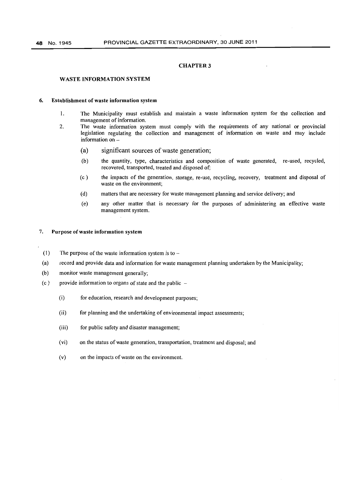#### WASTE INFORMATION SYSTEM

#### 6. Establishment of waste information system

- I. The Municipality must establish and maintain a waste information system for the collection and management of information.
- 2. The waste information system must comply with the requirements of any national or provincial legislation regulating the collection and management of information on waste and may include information on
	- (a) significant sources of waste generation;
	- (b) the quantity, type, characteristics and composition of waste generated, re-used, recycled, recovered, transported, treated and disposed of;
	- (c) the impacts of the generation, storage, re-use, recycling, recovery, treatment and disposal of waste on the environment;
	- (d) matters that are necessary for waste management planning and service delivery; and
	- (e) any other matter that is necessary for the purposes of administering an effective waste management system.

#### 7. Purpose of waste information system

- (1) The purpose of the waste information system is to  $-$
- (a) record and provide data and information for waste management planning undertaken by the Municipality;
- (b) monitor waste management generally;
- (c) provide information to organs of state and the public  $-$ 
	- (i) for education, research and development purposes;
	- (ii) for planning and the undertaking of environmental impact assessments;
	- (iii) for public safety and disaster management;
	- (vi) on the status of waste generation, transportation, treatment and disposal; and
	- (v) on the impacts of waste on the environment.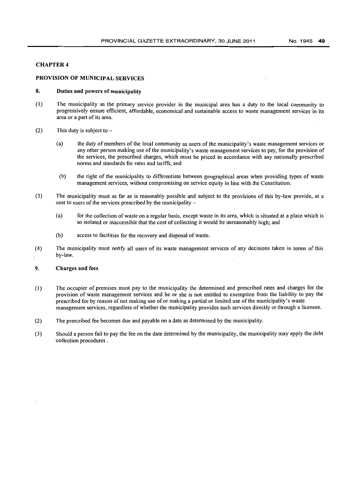### PROVISION OF MUNICIPAL SERVICES

### 8. Duties and powers of municipality

- (I) The municipality as the primary service provider in the municipal area has a duty to the local community to progressively ensure efficient, affordable, economical and sustainable access to waste management services in its area or a part of its area.
- (2) This duty is subject to  $-$ 
	- (a) the duty of members of the local community as users of the municipality's waste management services or any other person making use of the municipality's waste management services to pay, for the provision of the services, the prescribed charges, which must be priced in accordance with any nationally prescribed norms and standards for rates and tariffs; and
	- (b) the right of the municipality to differentiate between geographical areas when providing types of waste management services, without compromising on service equity in line with the Constitution.
- (3) The municipality must as far as is reasonably possible and subject to the provisions of this by-law provide, at a cost to users of the services prescribed by the municipality-
	- (a) for the colJection of waste on a regular basis, except waste in its area, which is situated at a place which is so isolated or inaccessible that the cost of collecting it would be unreasonably high; and
	- (b) access to facilities for the recovery and disposal of waste.
- (4) The municipality must notify all users of its waste management services of any decisions taken in terms of this by-law.

#### 9. Charges and fees

- (I) The occupier of premises must pay to the municipality the determined and prescribed rates and charges for the provision of waste management services and he or she is not entitled to exemption from the liability to pay the prescribed fee by reason of not making use of or making a partial or limited use of the municipality's waste management services, regardless of whether the municipality provides such services directly or through a licensee.
- (2) The prescribed fee becomes due and payable on a date as determined by the municipality.
- (3) Should a person fail to pay the fee on the date determined by the municipality, the municipality may apply the debt collection procedures.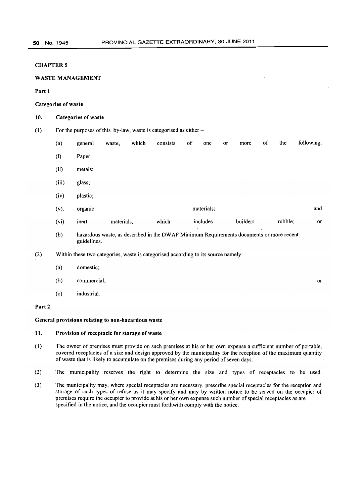### WASTE MANAGEMENT

#### Part 1

#### Categories of waste

#### 10. Categories of waste

(1) For the purposes of this by-law, waste is categorised as either-

| (a)             | general  | waste,     | which | consists | of<br>one  | or | more     | of | the     | following: |
|-----------------|----------|------------|-------|----------|------------|----|----------|----|---------|------------|
| (i)             | Paper;   |            |       |          |            |    |          |    |         |            |
| (ii)            | metals;  |            |       |          |            |    |          |    |         |            |
| (iii)<br>$\sim$ | glass;   |            |       |          |            |    |          |    |         |            |
| (iv)            | plastic; |            |       |          |            |    |          |    |         |            |
| $(v)$ .         | organic  |            |       |          | materials; |    |          |    |         | and        |
| (vi)            | inert    | materials, |       | which    | includes   |    | builders |    | rubble; | or         |

(b) hazardous waste, as described in the DWAF Minimum Requirements documents or more recent guidelines.

or

- (2) Within these two categories, waste is categorised according to its source namely:
	- (a) domestic;
	- (b) commercial;
	- (c) industrial.

#### Part 2

#### General provisions relating to non-hazardous waste

### **11.** Provision of receptacle for storage of waste

- (l) The owner of premises must provide on such premises at his or her own expense a sufficient number of portable, covered receptacles of a size and design approved by the municipality for the reception of the maximum quantity of waste that is likely to accumulate on the premises during any period of seven days.
- (2) The municipality reserves the right to determine the size and types of receptacles to be used.
- (3) The municipality may, where special receptacles are necessary, prescribe special receptacles for the reception and storage of such types of refuse as it may specify and may by written notice to be served on the occupier of premises require the occupier to provide at his or her own expense such number of special receptacles as are specified in the notice, and the occupier must forthwith comply with the notice.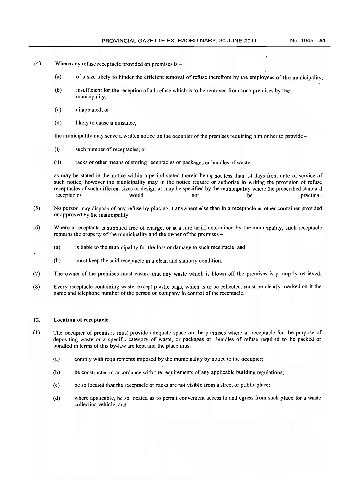- (4) Where any refuse receptacle provided on premises is  $-$ 
	- (a) of a size likely to hinder the efficient removal of refuse therefrom by the employees of the municipality;
	- (b) insufficient for the reception of all refuse which is to be removed from such premises by the municipality;
	- (c) dilapidated; or
	- (d) likely to cause a nuisance,

the municipality may serve a written notice on the occupier of the premises requiring him or her to provide-

- (i) such number of receptacles; or
- (ii) racks or other means of storing receptacles or packages or bundles of waste,

as may be stated in the notice within a period stated therein being not less than 14 days from date of service of such notice, however the municipality may in the notice require or authorise in writing the provision of refuse receptacles of such different sizes or design as may be specified by the municipality where the prescribed standard<br>not be the municipality where the prescribed standard<br>not receptacles would would not be practical.

- (5) No person may dispose of any refuse by placing it anywhere else than in a receptacle or other container provided or approved by the municipality.
- (6) Where a receptacle is supplied free of charge, or at a hire tariff determined by the municipality, such receptacle remains the property of the municipality and the owner of the premises-
	- (a) is liable to the municipality for the loss or damage to such receptacle; and
	- (b) must keep the said receptacle in a clean and sanitary condition.
- (7) The owner of the premises must ensure that any waste which is blown off the premises is promptly retrieved.
- (8) Every receptacle containing waste, except plastic bags, which is to be collected, must be clearly marked on it the name and telephone number of the person or company in control of the receptacle.

#### 12. Location of receptacle

- (1) The occupier of premises must provide adequate space on the premises where a receptacle for the purpose of depositing waste or a specific category of waste, or packages or bundles of refuse required to be packed or bundled in terms of this by-law are kept and the place must  $-$ 
	- (a) comply with requirements imposed by the municipality by notice to the occupier;
	- (b) be constructed in accordance with the requirements of any applicable building regulations;
	- (c) be so located that the receptacle or racks are not visible from a street or public place;
	- (d) where applicable, be so located as to permit convenient access to and egress from such place for a waste collection vehicle; and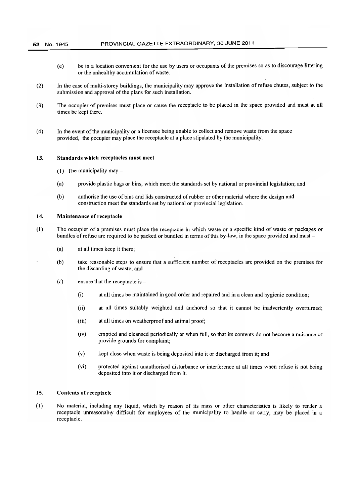#### 52 No. 1945 PROVINCIAL GAZETTE EXTRAORDINARY, 30 JUNE 2011

- (e) be in a location convenient for the use by users or occupants of the premises so as to discourage littering or the unhealthy accumulation of waste.
- (2) In the case of multi-storey buildings, the municipality may approve the installation of refuse chutes, subject to the submission and approval of the plans for such installation.
- (3) The occupier of premises must place or cause the receptacle to be placed in the space provided and must at all times be kept there.
- (4) In the event of the municipality or a licensee being unable to collect and remove waste from the space provided, the occupier may place the receptacle at a place stipulated by the municipality.

#### 13. Standards which receptacles must meet

- (1) The municipality may  $-$
- (a) provide plastic bags or bins, which meet the standards set by national or provincial legislation; and
- (b) authorise the use of bins and lids constructed of rubber or other material where the design and construction meet the standards set by national or provincial legislation.

#### 14. Maintenance of receptacle

- (1) The occupier of a premises must place the recepiacle in which waste or a specific kind of waste or packages or bundles of refuse are required to be packed or bundled in terms of this by-law, in the space provided and must-
	- (a) at all times keep it there;
	- (b) take reasonable steps to ensure that a sufficient number of receptacles are provided on the premises for the discarding of waste; and
	- $(c)$  ensure that the receptacle is  $-$ 
		- (i) at aU times be maintained in good order and repaired and in a clean and hygienic condition;
		- (ij) at all times suitably weighted and anchored so that it cannot be inadvertently overturned;
		- (iii) at all times on weatherproof and animal proof;
		- (iv) emptied and cleansed periodically or when full, so that its contents do not become a nuisance or provide grounds for complaint;
		- (v) kept close when waste is being deposited into it or discharged from it; and
		- (vi) protected against unauthorised disturbance or interference at all times when refuse is not being deposited into it or discharged from it.

#### 15. Contents of receptacle

(1) No material, including any liquid, which by reason of its mass or other characteristics is likely to render a receptacle unreasonably difficult for employees of the municipality to handle or carry, may be placed in a receptacle.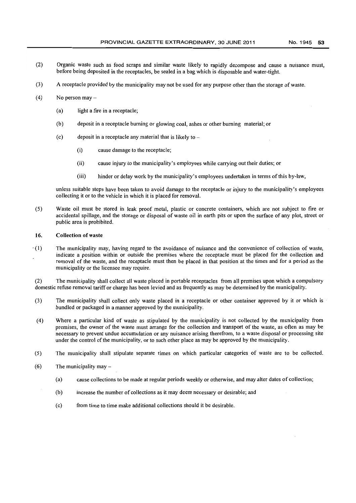- (2) Organic waste such as food scraps and similar waste likely to rapidly decompose and cause a nuisance must, before being deposited in the receptacles, be sealed in a bag which is disposable and water-tight.
- (3) A receptacle provided by the municipality may not be used for any purpose other than the storage of waste.
- $(4)$  No person may  $-$ 
	- (a) light a fire in a receptacle;
	- (b) deposit in a receptacle burning or glowing coal, ashes or other burning material; or
	- (c) deposit in a receptacle any material that is likely to
		- (i) cause damage to the receptacle;
		- (ii) cause injury to the municipality's employees while carrying out their duties; or
		- (iii) hinder or delay work by the municipality's employees undertaken in terms of this by-law,

unless suitable steps have been taken to avoid damage to the receptacle or injury to the municipality's employees collecting it or to the vehicle in which it is placed for removal.

(5) Waste oil must be stored in leak proof metal, plastic or concrete containers, which are not subject to fire or accidental spillage, and the storage or disposal of waste oil in earth pits or upon the surface of any plot, street or public area is prohibited.

#### 16. Collection of waste

 $(1)$  The municipality may, having regard to the avoidance of nuisance and the convenience of collection of waste, indicate a position within or outside the premises where the receptacle must be placed for the collection and removal of the waste, and the receptacle must then be placed in that position at the times and for a period as the municipality or the licensee may require.

(2) The municipality shall collect all waste placed in portable receptacles from all premises upon which a compulsory domestic refuse removal tariff or charge has been levied and as frequently as may be determined by the municipality.

- (3) The municipality shall collect only waste placed in a receptacle or other container approved by it or which is bundled or packaged in a manner approved by the municipality.
- (4) Where a particular kind of waste as stipulated by the municipality is not collected by the municipality from premises, the owner of the waste must arrange for the collection and transport of the waste, as often as may be necessary to prevent undue accumulation or any nuisance arising therefrom, to a waste disposal or processing site under the control of the municipality, or to such other place as may be approved by the municipality.
- (5) The municipality shall stipulate separate times on which particular categories of waste are to be collected.
- (6) The municipality may-
	- (a) cause collections to be made at regular periods weekly or otherwise, and may alter dates of collection;
	- (b) increase the number of collections as it may deem necessary or desirable; and
	- (c) from time to time make additional collections should it be desirable.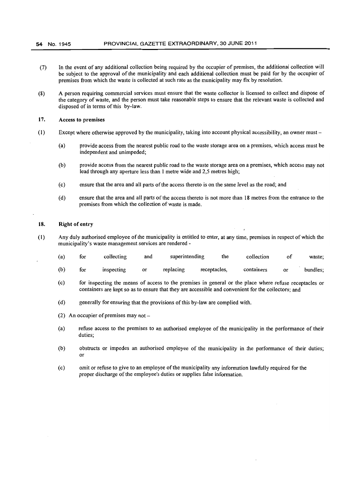- (7) In the event of any additional collection being required by the occupier of premises, the additional collection will be subject to the approval of the municipality and each additional collection must be paid for by the occupier of premises from which the waste is collected at such rate as the municipality may fix by resolution.
- (8) A person requiring commercial services must ensure that the waste collector is licensed to collect and dispose of the category of waste, and the person must take reasonable steps to ensure that the relevant waste is collected and disposed of in terms of this by-law.

### 17. Access to premises

- (1) Except where otherwise approved by the municipality, taking into account physical accessibility, an owner must
	- (a) provide access from the nearest public road to the waste storage area on a premises, which access must be independent and unimpeded;
	- (b) provide access from the nearest public road to the waste storage area on a premises, which access may not lead through any aperture less than 1 metre wide and 2,5 metres high;
	- (c) ensure that the area and all parts of the access thereto is on the same level as the road; and
	- (d) ensure that the area and all parts of the access thereto is not more than 18 metres from the entrance to the premises from which the collection of waste is made.

#### 18. Right of entry

(1) Any duly authorised employee of the municipality is entitled to enter, at any time, premises in respect of which the municipality's waste management services are rendered-

|  |  | (a) for collecting and superintending the collection of waste;                                                                                                                                                                 |  |  |
|--|--|--------------------------------------------------------------------------------------------------------------------------------------------------------------------------------------------------------------------------------|--|--|
|  |  | and the contract of the contract of the contract of the contract of the contract of the contract of the contract of the contract of the contract of the contract of the contract of the contract of the contract of the contra |  |  |

- (b) for inspecting or replacing receptacles, containers or bundles;
- (c) for inspecting the means of access to the premises in general or the place where refuse receptacles or containers are kept so as to ensure that they are accessible and convenient for the collectors; and
- (d) generally for ensuring that the provisions of this by-law are complied with.
- (2) An occupier of premises may not-
- (a) refuse access to the premises to an authorised employee of the municipality in the performance of their duties;
- (b) obstructs or impedes an authorised employee of the municipality in the performance of their duties; or
- (c) omit or refuse to give to an employee ofthe municipality any information lawfully required for the proper discharge of the employee's duties or supplies false information.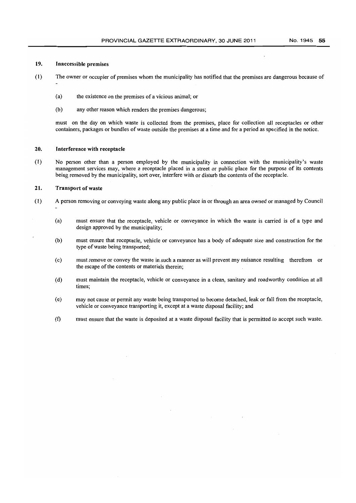### 19. Inaccessible premises

- (I) The owner or occupier of premises whom the municipality has notified that the premises are dangerous because of
	- (a) the existence on the premises of a vicious animal; or
	- (b) any other reason which renders the premises dangerous;

must on the day on which waste is collected from the premises, place for collection all receptacles or other containers, packages or bundles of waste outside the premises at a time and for a period as specified in the notice.

### 20. Interference with receptacle

(I) No person other than a person employed by the municipality in connection with the municipality's waste management services may, where a receptacle placed in a street or public place for the purpose of its contents being removed by the municipality, sort over, interfere with or disturb the contents of the receptacle.

#### **21.** Transport of waste

- (I) A person removing or conveying waste along any public place in or through an area owned or managed by Council
	- (a) must ensure that the receptacle, vehicle or conveyance in which the waste is carried is of a type and design approved by the municipality;
	- (b) must ensure that receptacle, vehicle or conveyance has a body of adequate size and construction for the type of waste being transported;
	- (c) must remove or convey the waste in such a manner as will prevent any nuisance resulting therefrom or the escape of the contents or materials therein;
	- (d) must maintain the receptacle, vehicle or conveyance in a clean, sanitary and roadworthy condition at all times;
	- (e) may not cause or permit any waste being transported to become detached, leak or fall from the receptacle, vehicle or conveyance transporting it, except at a waste disposal facility; and
	- (t) must ensure that the waste is deposited at a waste disposal facility that is permitted to accept such waste.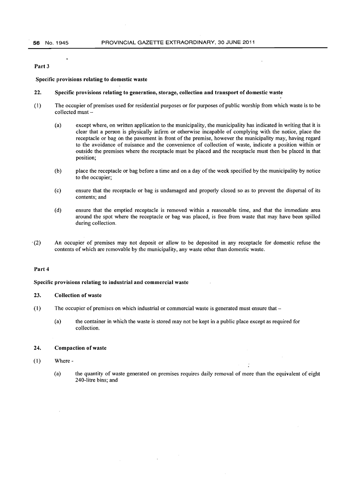#### Part 3

Specific provisions relating to domestic waste

#### 22. Specific provisions relating to generation, storage, collection and transport of domestic waste

- (1) The occupier of premises used for residential purposes or for purposes of public worship from which waste is to be collected must-
	- (a) except where, on written application to the municipality, the municipality has indicated in writing that it is clear that a person is physically infirm or otherwise incapable of complying with the notice, place the receptacle or bag on the pavement in front of the premise, however the municipality may, having regard to the avoidance of nuisance and the convenience of collection of waste, indicate a position within or outside the premises where the receptacle must be placed and the receptacle must then be placed in that position;
	- (b) place the receptacle or bag before a time and on a day of the week specified by the municipality by notice to the occupier;
	- (c) ensure that the receptacle or bag is undamaged and properly closed so as to prevent the dispersal of its contents; and
	- (d) ensure that the emptied receptacle is removed within a reasonable time, and that the immediate area around the spot where the receptacle or bag was placed, is free from waste that may have been spilled during collection.
- '(2) An occupier of premises may not deposit or allow to be deposited in any receptacle for domestic refuse the contents of which are removable by the municipality, any waste other than domestic waste.

#### Part 4

#### Specific provisions relating to industrial and commercial waste

#### 23. Collection of waste

(1) The occupier of premises on which industrial or commercial waste is generated must ensure that -

 $\bar{a}$ 

(a) the container in which the waste is stored may not be kept in a public place except as required for collection.

#### 24. Compaction of waste

#### (1) Where-

(a) the quantity of waste generated on premises requires daily removal of more than the equivalent of eight 240-litre bins; and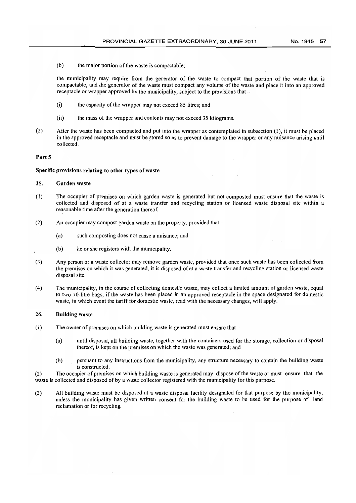$(b)$  the major portion of the waste is compactable;

the municipality may require from the generator of the waste to compact that portion of the waste that is compactable, and the generator of the waste must compact any volume of the waste and place it into an approved receptacle or wrapper approved by the municipality, subject to the provisions that

- (i) the capacity of the wrapper may not exceed 85 litres; and
- $(ii)$  the mass of the wrapper and contents may not exceed 35 kilograms.
- (2) After the waste has been compacted and put into the wrapper as contemplated in subsection (1), it must be placed in the approved receptacle and must be stored so as to prevent damage to the wrapper or any nuisance arising until collected.

#### Part 5

#### Specific provisions relating to other types of waste

#### 25. Garden waste

- (1) The occupier of premises on which garden waste is generated but not composted must ensure that the waste is collected and disposed of at a waste transfer and recycling station or licensed waste disposal site within a reasonable time after the generation thereof.
- (2) An occupier may compost garden waste on the property, provided that --
	- (a) such composting does not cause a nuisance; and
	- (b) he or she registers with the municipality.
- (3) Any person or a waste collector may remove garden waste, provided that once such waste has been collected from the premises on which it was generated, it is disposed of at a waste transfer and recycling station or licensed waste disposal site.
- (4) The municipality, in the course of collecting domestic waste, may collect a limited amount of garden waste, equal to two 70-litre bags, if the waste has been placed in an approved receptacle in the space designated for domestic waste, in which event the tariff for domestic waste, read with the necessary changes, will apply.

#### 26. Building waste

- $(1)$  The owner of premises on which building waste is generated must ensure that  $-$ 
	- (a) until disposal, all building waste, together with the containers used for the storage, collection or disposal thereof, is kept on the premises on which the waste was generated; and
	- (b) pursuant to any instructions from the municipality, any structure necessary to contain the building waste is constructed.

(2) The occupier of premises on which building waste is generated may dispose of the waste or must ensure that the waste is collected and disposed of by a waste collector registered with the municipality for this purpose.

(3) All building waste must be disposed at a waste disposal facility designated for that purpose by the municipality, unless the municipality has given written consent for the building waste to be used for the purpose of land reclamation or for recycling.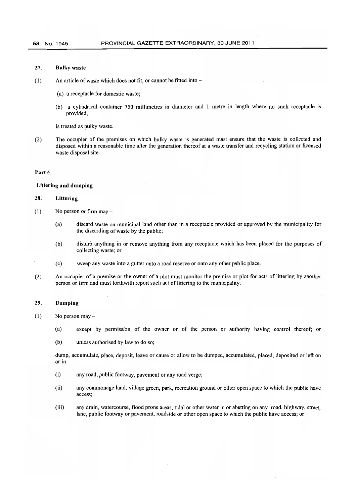#### 27. Bulky waste

- $(1)$  An article of waste which does not fit, or cannot be fitted into  $-$ 
	- (a) a receptacle for domestic waste;
	- (b) a cylindrical container 750 millimetres in diameter and 1 metre in length where no such receptacle is provided,

is treated as bulky waste.

(2) The occupier of the premises on which bulky waste is generated must ensure that the waste is collected and disposed within a reasonable time after the generation thereof at a waste transfer and recycling station or licensed waste disposal site.

#### Part 6

#### Littering and dumping

#### 28. Littering

- $(1)$  No person or firm may
	- (a) discard waste on municipal land other than in a receptacle provided or approved by the municipality for the discarding of waste by the public;
	- (b) disturb anything in or remove anything from any receptacle which has been placed for the purposes of collecting waste; or
	- (c) sweep any waste into a gutter onto a road reserve or onto any other public place.
- (2) An occupier of a premise or the owner of a plot must monitor the premise or plot for acts of littering by another person or firm and must forthwith report such act of littering to the municipality.

#### 29. Dumping

- $(1)$  No person may -
	- (a) except by permission of the owner or of the person or authority having control thereof; or
	- (b) unless authorised by law to do so;

dump, accumulate, place, deposit, leave or cause or allow to be dumped, accumulated, placed, deposited or left on or in -

- (i) any road, public footway, pavement or any road verge;
- (ii) any commonage land, village green, park, recreation ground or other open space to which the public have access;
- (iii) any drain, watercourse, flood prone areas, tidal or other water in or abutting on any road, highway, street, lane, public footway or pavement, roadside or other open space to which the public have access; or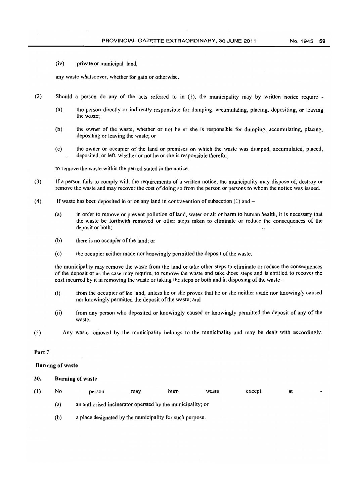(iv) private or municipal land,

any waste whatsoever, whether for gain or otherwise.

- (2) Should a person do any of the acts referred to in (1), the municipality may by written notice require
	- (a) the person directly or indirectly responsible for dumping, accumulating, placing, depositing, or leaving the waste;
	- (b) the owner of the waste, whether or not he or she is responsible for dumping, accumulating, placing, depositing or leaving the waste; or
	- (c) the owner or occupier of the land or premises on which the waste was dumped, accumulated, placed, deposited, or left, whether or not he or she is responsible therefor,

to remove the waste within the period stated in the notice.

- (3) If a person fails to comply with the requirements of a written notice, the municipality may dispose of, destroy or remove the waste and may recover the cost of doing so from the person or persons to whom the notice was issued.
- (4) If waste has been deposited in or on any land in contravention of subsection  $(1)$  and  $-$ 
	- (a) in order to remove or prevent pollution of land, water or air or harm to human health, it is necessary that the waste be forthwith removed or other steps taken to eliminate or reduce the consequences of the deposit or both:
	- (b) there is no occupier of the land; or
	- (c) the occupier neither made nor knowingly permitted the deposit of the waste,

the municipality may remove the waste from the land or take other steps to eliminate or reduce the consequences of the deposit or as the case may require, to remove the waste and take those steps and is entitled to recover the cost incurred by it in removing the waste or taking the steps or both and in disposing of the waste –

- (i) from the occupier of the land, unless he or she proves that he or she neither made nor knowingly caused nor knowingly permitted the deposit of the waste; and
- (ii) from any person who deposited or knowingly caused or knowingly permitted the deposit of any of the waste.
- (5) Any waste removed by the municipality belongs to the municipality and may be dealt with accordingly.

#### Part 7

#### Burning of waste

#### 30. Burning of waste

| (1) | No  | person                                                     | may | burn | waste | except |  |
|-----|-----|------------------------------------------------------------|-----|------|-------|--------|--|
|     | (a) | an authorised incinerator operated by the municipality; or |     |      |       |        |  |

(b) a place designated by the municipality for such purpose.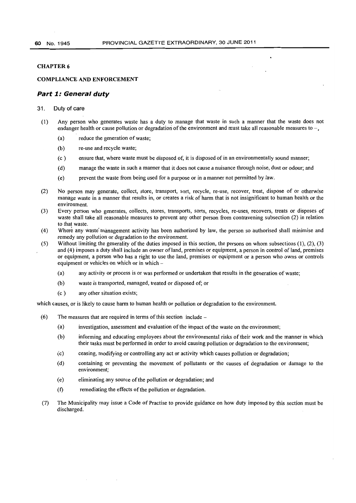#### **COMPLIANCE AND ENFORCEMENT**

#### **Part 1: General duty**

#### 31. Duty of care

- (1) Any person who generates waste has a duty to manage that waste in such a manner that the waste does not endanger health or cause pollution or degradation of the environment and must take all reasonable measures to  $-$ .
	- (a) reduce the generation of waste;
	- (b) re-use and recycle waste;
	- (c) ensure that, where waste must be disposed of, it is disposed of in an environmentally sound manner;
	- (d) manage the waste in such a manner that it does not cause a nuisance through noise, dust or odour; and
	- (e) prevent the waste from being used for a purpose or in a manner not permitted by law.
- (2) No person may generate, collect, store, transport, sort, recycle, re-use, recover, treat, dispose of or otherwise manage waste in a manner that results in, or creates a risk of harm that is not insignificant to human health or the environment.
- (3) Every person who generates, collects, stores, transports, sorts, recycles, re-uses, recovers, treats or disposes of waste shall take all reasonable measures to prevent any other person from contravening subsection (2) in relation to that waste.
- (4) Where any waste'management activity has been authorised by law, the person so authorised shall minimise and remedy any pollution or degradation to the environment.
- (5) Without limiting the generality of the duties imposed in this section, the persons on whom subsections  $(1)$ ,  $(2)$ ,  $(3)$ and (4) imposes a duty shall include an owner of land, premises or equipment, a person in control of land, premises or equipment, a person who has a right to use the land, premises or equipment or a person who owns or controls equipment or vehicles on which or in which -
	- (a) any activity or process is or was performed or undertaken that results in the generation of waste;
	- (b) waste is transported, managed, treated or disposed of; or
	- (c ) any other situation exists;

which causes, or is likely to cause harm to human health or pollution or degradation to the environment.

- (6) The measures that are required in terms of this section include  $-$ 
	- (a) investigation, assessment and evaluation ofthe impact of the waste on the environment;
	- (b) informing and educating employees about the environmental risks of their work and the manner in which their tasks must be performed in order to avoid causing pollution or degradation to the environment;
	- (c) ceasing, modifying or controlling any act or activity which causes pollution or degradation;
	- (d) containing or preventing the movement of pollutants or the causes of degradation or damage to the environment;
	- (e) eliminating any source of the pollution or degradation; and
	- (t) remediating the effects of the pollution or degradation.
- (7) The Municipality may issue a Code of Practise to provide guidance on how duty imposed by this section must be discharged.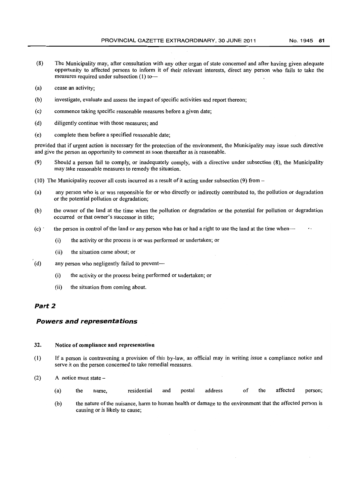- (8) The Municipality may, after consultation with any other organ of state concerned and after having given adequate opportunity to affected persons to inform it of their relevant interests, direct any person who fails to take the measures required under subsection (1) to---
- (a) cease an activity;
- (b) investigate, evaluate and assess the impact of specific activities and report thereon;
- (c) commence taking specific reasonable measures before a given date;
- (d) diligently continue with those measures; and
- (e) complete them before a specified reasonable date;

provided that if urgent action is necessary for the protection of the environment, the Municipality may issue such directive and give the person an opportunity to comment as soon thereafter as is reasonable.

- (9) Should a person fail to comply, or inadequately comply, with a directive under subsection (8), the Municipality may take reasonable measures to remedy the situation.
- (10) The Municipality recover all costs incurred as a result of it acting under subsection (9) from  $-$
- (a) any person who is or was responsible for or who directly or indirectly contributed to, the pollution or degradation or the potential pollution or degradation;
- (b) the owner of the land at the time when the pollution or degradation or the potential for pollution or degradation occurred or that owner's successor in title;
- $(c)$  the person in control of the land or any person who has or had a right to use the land at the time when---
	- (i) the activity or the process is or was performed or undertaken; or
	- (ii) the situation came about; or
- (d) any person who negligently failed to prevent-
	- (i) the activity or the process being performed or undertaken; or
	- (ii) the situation from coming about.

### Part 2

### **Powers and representations**

#### 32. Notice of compliance and representation

- (1) If a person is contravening a provision of this by-law, an official may in writing issue a compliance notice and serve it on the person concerned to take remedial measures.
- (2) A notice must state
	- (a) the name, residential and postal address of the affected person;
	- (b) the nature of the nuisance, harm to human health or damage to the environment that the affected person is causing or is likely to cause;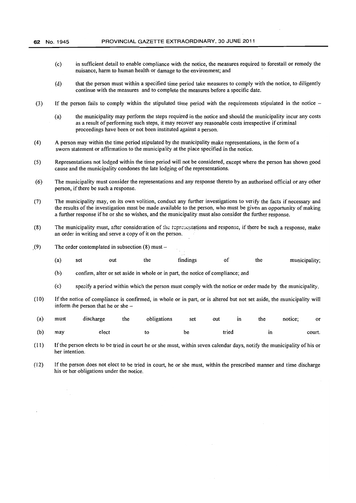- (c) in sufficient detail to enable compliance with the notice, the measures required to forestall or remedy the nuisance, harm to human health or damage to the environment; and .
- (d) that the person must within a specified time period take measures to comply with the notice, to diligently continue with the measures and to complete the measures before a specific date.
- (3) If the person fails to comply within the stipulated time period with the requirements stipulated in the notice
	- (a) the municipality may perform the steps required in the notice and should the municipality incur any costs as a result of performing such steps, it may recover any reasonable costs irrespective if criminal proceedings have been or not been instituted against a person.
- (4) A person may within the time period stipulated by the municipality make representations, in the form of a sworn statement or affirmation to the municipality at the place specified in the notice.
- (5) Representations not lodged within the time period will not be considered, except where the person has shown good cause and the municipality condones the late lodging of the representations.
- (6) The municipality must consider the representations and any response thereto by an authorised official or any other person, if there be such a response.
- (7) The municipality may, on its own volition, conduct any further investigations to verify the facts if necessary and the results of the investigation must be made available to the person, who must be given an opportunity of making a further response ifhe or she so wishes, and the municipality must also consider the further response.
- (8) The municipality must, after consideration of the representations and response, if there be such a response, make an order in writing and serve a copy of it on the person.
- $(9)$  The order contemplated in subsection  $(8)$  must -
	- (a) set out the findings of the municipality;
	- (b) confirm, alter or set aside in whole or in part, the notice of compliance; and
	- (c) specify a period within which the person must comply with the notice or order made by the municipality.
- (10) If the notice of compliance is confirmed, in whole or in part, or is altered but not set aside, the municipality will inform the person that he or she

| (a) | must | discharge | the | obligations | set | out   | in | the | notice: | or     |
|-----|------|-----------|-----|-------------|-----|-------|----|-----|---------|--------|
| (b) | may  | elect     |     |             | be  | tried |    | in  |         | court. |

- (11) If the person elects to be tried in court he or she must, within seven calendar days, notify the municipality of his or her intention.
- (12) If the person does not elect to be tried in court, he or she must, within the prescribed manner and time discharge his or her obligations under the notice.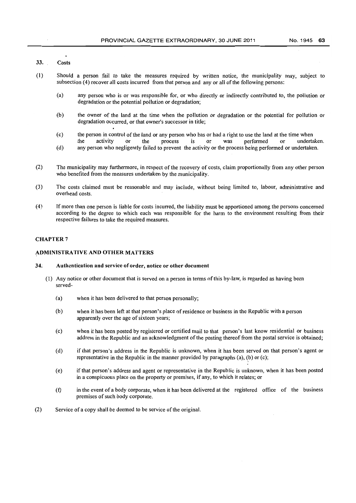### 33. Costs

- (1) Should a person fail to take the measures required by written notice, the municipality may, subject to subsection (4) recover all costs incurred from that person and any or all of the following persons:
	- (a) any person who is or was responsible for, or who directly or indirectly contributed to, the pollution or degradation or the potential pollution or degradation;
	- (b) the owner of the land at the time when the pollution or degradation or the potential for pollution or degradation occurred, or that owner's successor in title;
	- (c) the person in control of the land or any person who has or had a right to use the land at the time when the activity or the process is or was performed or undertaken.
	- (d) any person who negligently failed to prevent the activity or the process being performed or undertaken.
- (2) The municipality may furthermore, in respect of the recovery of costs, claim proportionally from any other person who benefited from the measures undertaken by the municipality.
- (3) The costs claimed must be reasonable and may include, without being limited to, labour, administrative and overhead costs.
- (4) If more than one person is liable for costs incurred, the liability must be apportioned among the persons concerned according to the degree to which each was responsible for the harm to the environment resulting from their respective failures to take the required measures.

### CHAPTER 7

### ADMINISTRATIVE AND OTHER MATTERS

#### 34. Authentication and service of order, notice or other document

- (1) Any notice or other document that is served on a person in terms of this by-law, is regarded as having been served-
	- (a) when it has been delivered to that person personally;
	- (b) when it has been left at that person's place of residence or business in the Republic with a person apparently over the age of sixteen years;
	- (c) when it has been posted by registered or certified mail to that person's last know residential or business address in the Republic and an acknowledgment of the posting thereof from the postal service is obtained;
	- (d) if that person's address in the Republic is unknown, when it has been served on that person's agent or representative in the Republic in the manner provided by paragraphs (a), (b) or (c);
	- (e) if that person's address and agent or representative in the Republic is unknown, when it has been posted in a conspicuous place on the property or premises, if any, to which it relates; or
	- (t) in the event of a body corporate, when it has been delivered at the registered office of the business premises of such body corporate.
- (2) Service of a copy shall be deemed to be service of the original.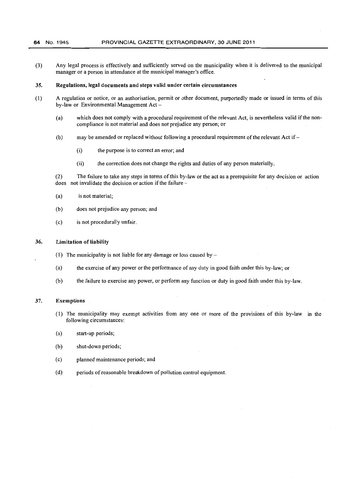(3) Any legal process is effectively and sufficiently served on the municipality when it is delivered to the municipal manager or a person in attendance at the municipal manager's office.

### 35. Regulations, legal documents and steps valid under certain circumstances

- (1) A regulation or notice, or an authorisation, pennit or other document, purportedly made or issued in terms of this by-law or Environmental Management Act -
	- (a) which does not comply with a procedural requirement of the relevant Act, is nevertheless valid jfthe noncompliance is not material and does not prejudice any person; or
	- (b) may be amended or replaced without following a procedural requirement of the relevant Act if-
		- (i) the purpose is to correct an error; and
		- (ii) the correction does not change the rights and duties of any person materially.

(2) The failure to take any steps in terms of this by-law or the act as a prerequisite for any decision or action does not invalidate the decision or action if the failure-

- (a) is not material;
- (b) does not prejudice any person; and
- (c) is not procedurally unfair.

#### 36. Limitation of liability

- (1) The municipality is not liable for any damage or loss caused by  $-$
- (a) the exercise of any power or the perfonnance of any duty in good faith under this by-law; or
- (b) the failure to exercise any power, or perform any function or duty in good faith under this by-law.

### 37. Exemptions

- (1) The municipality may exempt activities from anyone or more of the provisions of this by-law in the following circumstances:
- (a) start-up periods;
- (b) shut-down periods;
- (c) planned maintenance periods; and
- (d) periods of reasonable breakdown of pollution control equipment.